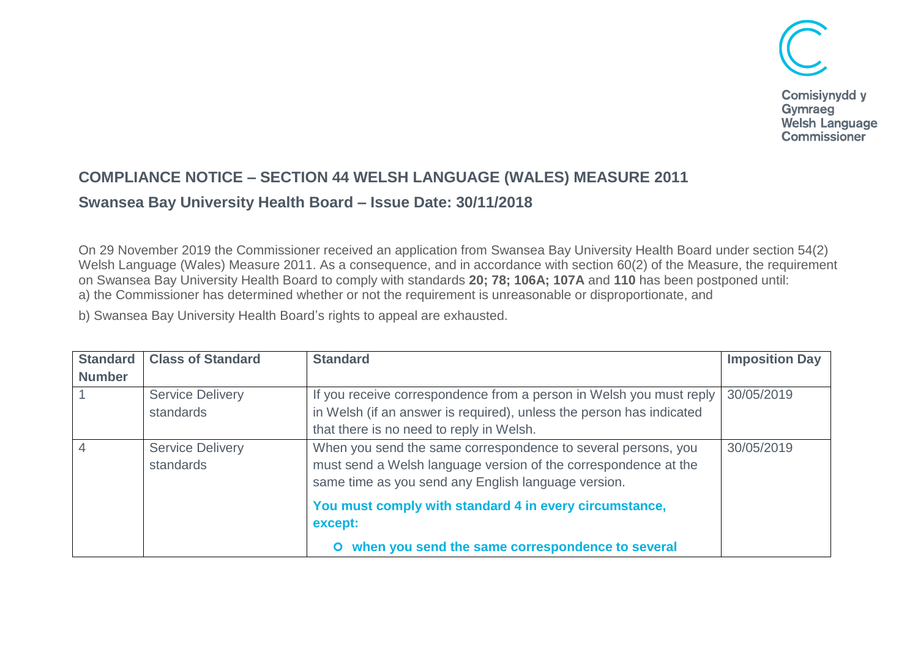

## **COMPLIANCE NOTICE – SECTION 44 WELSH LANGUAGE (WALES) MEASURE 2011**

## **Swansea Bay University Health Board – Issue Date: 30/11/2018**

On 29 November 2019 the Commissioner received an application from Swansea Bay University Health Board under section 54(2) Welsh Language (Wales) Measure 2011. As a consequence, and in accordance with section 60(2) of the Measure, the requirement on Swansea Bay University Health Board to comply with standards **20; 78; 106A; 107A** and **110** has been postponed until: a) the Commissioner has determined whether or not the requirement is unreasonable or disproportionate, and

b) Swansea Bay University Health Board's rights to appeal are exhausted.

| <b>Standard</b> | <b>Class of Standard</b> | <b>Standard</b>                                                      | <b>Imposition Day</b> |
|-----------------|--------------------------|----------------------------------------------------------------------|-----------------------|
| <b>Number</b>   |                          |                                                                      |                       |
|                 | <b>Service Delivery</b>  | If you receive correspondence from a person in Welsh you must reply  | 30/05/2019            |
|                 | standards                | in Welsh (if an answer is required), unless the person has indicated |                       |
|                 |                          | that there is no need to reply in Welsh.                             |                       |
|                 | <b>Service Delivery</b>  | When you send the same correspondence to several persons, you        | 30/05/2019            |
|                 | standards                | must send a Welsh language version of the correspondence at the      |                       |
|                 |                          | same time as you send any English language version.                  |                       |
|                 |                          | You must comply with standard 4 in every circumstance,               |                       |
|                 |                          | except:                                                              |                       |
|                 |                          | when you send the same correspondence to several                     |                       |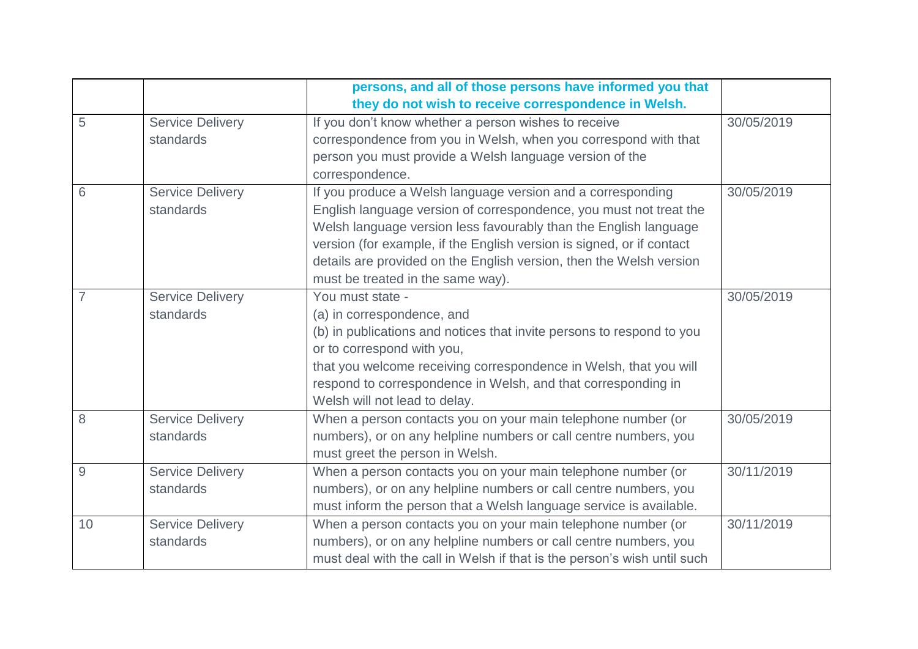|    |                         | persons, and all of those persons have informed you that                 |            |
|----|-------------------------|--------------------------------------------------------------------------|------------|
|    |                         | they do not wish to receive correspondence in Welsh.                     |            |
| 5  | <b>Service Delivery</b> | If you don't know whether a person wishes to receive                     | 30/05/2019 |
|    | standards               | correspondence from you in Welsh, when you correspond with that          |            |
|    |                         | person you must provide a Welsh language version of the                  |            |
|    |                         | correspondence.                                                          |            |
| 6  | <b>Service Delivery</b> | If you produce a Welsh language version and a corresponding              | 30/05/2019 |
|    | standards               | English language version of correspondence, you must not treat the       |            |
|    |                         | Welsh language version less favourably than the English language         |            |
|    |                         | version (for example, if the English version is signed, or if contact    |            |
|    |                         | details are provided on the English version, then the Welsh version      |            |
|    |                         | must be treated in the same way).                                        |            |
| 7  | <b>Service Delivery</b> | You must state -                                                         | 30/05/2019 |
|    | standards               | (a) in correspondence, and                                               |            |
|    |                         | (b) in publications and notices that invite persons to respond to you    |            |
|    |                         | or to correspond with you,                                               |            |
|    |                         | that you welcome receiving correspondence in Welsh, that you will        |            |
|    |                         | respond to correspondence in Welsh, and that corresponding in            |            |
|    |                         | Welsh will not lead to delay.                                            |            |
| 8  | <b>Service Delivery</b> | When a person contacts you on your main telephone number (or             | 30/05/2019 |
|    | standards               | numbers), or on any helpline numbers or call centre numbers, you         |            |
|    |                         | must greet the person in Welsh.                                          |            |
| 9  | Service Delivery        | When a person contacts you on your main telephone number (or             | 30/11/2019 |
|    | standards               | numbers), or on any helpline numbers or call centre numbers, you         |            |
|    |                         | must inform the person that a Welsh language service is available.       |            |
| 10 | <b>Service Delivery</b> | When a person contacts you on your main telephone number (or             | 30/11/2019 |
|    | standards               | numbers), or on any helpline numbers or call centre numbers, you         |            |
|    |                         | must deal with the call in Welsh if that is the person's wish until such |            |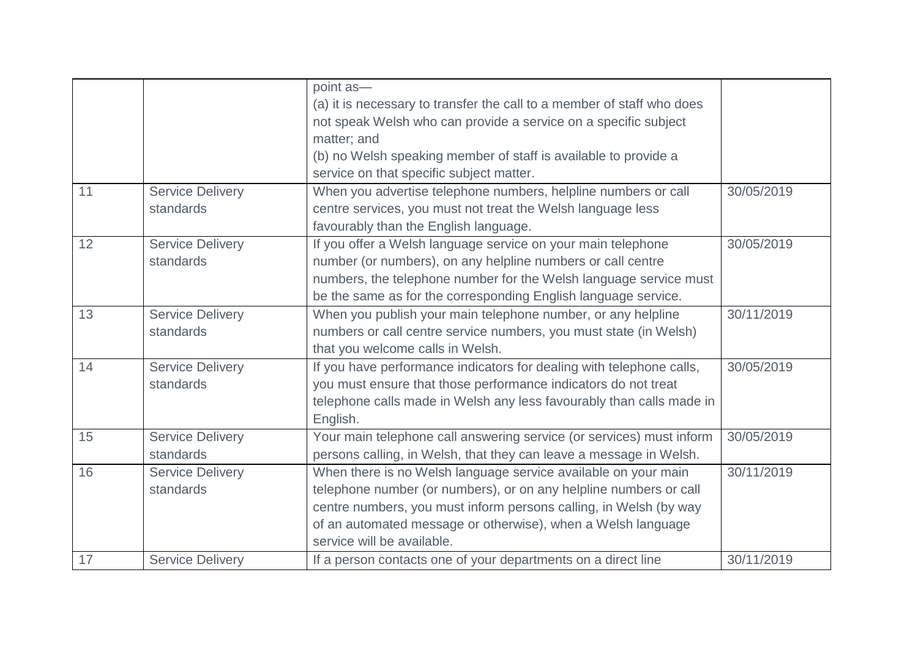|    |                         | point as-                                                              |            |
|----|-------------------------|------------------------------------------------------------------------|------------|
|    |                         | (a) it is necessary to transfer the call to a member of staff who does |            |
|    |                         | not speak Welsh who can provide a service on a specific subject        |            |
|    |                         | matter; and                                                            |            |
|    |                         | (b) no Welsh speaking member of staff is available to provide a        |            |
|    |                         | service on that specific subject matter.                               |            |
| 11 | <b>Service Delivery</b> | When you advertise telephone numbers, helpline numbers or call         | 30/05/2019 |
|    | standards               | centre services, you must not treat the Welsh language less            |            |
|    |                         | favourably than the English language.                                  |            |
| 12 | <b>Service Delivery</b> | If you offer a Welsh language service on your main telephone           | 30/05/2019 |
|    | standards               | number (or numbers), on any helpline numbers or call centre            |            |
|    |                         | numbers, the telephone number for the Welsh language service must      |            |
|    |                         | be the same as for the corresponding English language service.         |            |
| 13 | <b>Service Delivery</b> | When you publish your main telephone number, or any helpline           | 30/11/2019 |
|    | standards               | numbers or call centre service numbers, you must state (in Welsh)      |            |
|    |                         | that you welcome calls in Welsh.                                       |            |
| 14 | <b>Service Delivery</b> | If you have performance indicators for dealing with telephone calls,   | 30/05/2019 |
|    | standards               | you must ensure that those performance indicators do not treat         |            |
|    |                         | telephone calls made in Welsh any less favourably than calls made in   |            |
|    |                         | English.                                                               |            |
| 15 | <b>Service Delivery</b> | Your main telephone call answering service (or services) must inform   | 30/05/2019 |
|    | standards               | persons calling, in Welsh, that they can leave a message in Welsh.     |            |
| 16 | <b>Service Delivery</b> | When there is no Welsh language service available on your main         | 30/11/2019 |
|    | standards               | telephone number (or numbers), or on any helpline numbers or call      |            |
|    |                         | centre numbers, you must inform persons calling, in Welsh (by way      |            |
|    |                         | of an automated message or otherwise), when a Welsh language           |            |
|    |                         | service will be available.                                             |            |
| 17 | <b>Service Delivery</b> | If a person contacts one of your departments on a direct line          | 30/11/2019 |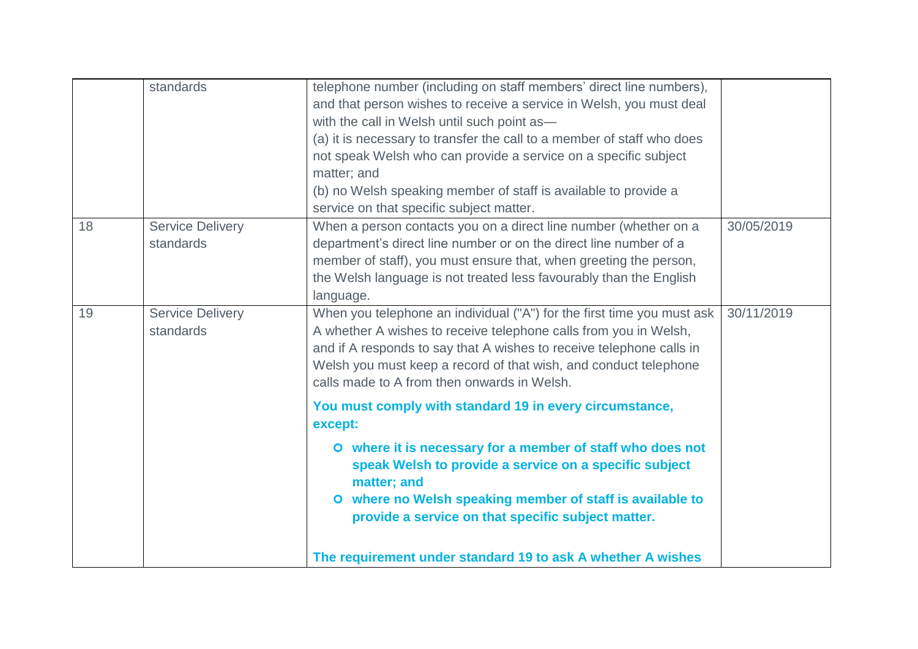|    | standards                            | telephone number (including on staff members' direct line numbers),<br>and that person wishes to receive a service in Welsh, you must deal<br>with the call in Welsh until such point as-<br>(a) it is necessary to transfer the call to a member of staff who does<br>not speak Welsh who can provide a service on a specific subject<br>matter; and<br>(b) no Welsh speaking member of staff is available to provide a<br>service on that specific subject matter. |            |
|----|--------------------------------------|----------------------------------------------------------------------------------------------------------------------------------------------------------------------------------------------------------------------------------------------------------------------------------------------------------------------------------------------------------------------------------------------------------------------------------------------------------------------|------------|
| 18 | <b>Service Delivery</b><br>standards | When a person contacts you on a direct line number (whether on a<br>department's direct line number or on the direct line number of a<br>member of staff), you must ensure that, when greeting the person,<br>the Welsh language is not treated less favourably than the English<br>language.                                                                                                                                                                        | 30/05/2019 |
| 19 | <b>Service Delivery</b><br>standards | When you telephone an individual ("A") for the first time you must ask<br>A whether A wishes to receive telephone calls from you in Welsh,<br>and if A responds to say that A wishes to receive telephone calls in<br>Welsh you must keep a record of that wish, and conduct telephone<br>calls made to A from then onwards in Welsh.                                                                                                                                | 30/11/2019 |
|    |                                      | You must comply with standard 19 in every circumstance,<br>except:                                                                                                                                                                                                                                                                                                                                                                                                   |            |
|    |                                      | O where it is necessary for a member of staff who does not<br>speak Welsh to provide a service on a specific subject<br>matter; and<br>O where no Welsh speaking member of staff is available to<br>provide a service on that specific subject matter.                                                                                                                                                                                                               |            |
|    |                                      | The requirement under standard 19 to ask A whether A wishes                                                                                                                                                                                                                                                                                                                                                                                                          |            |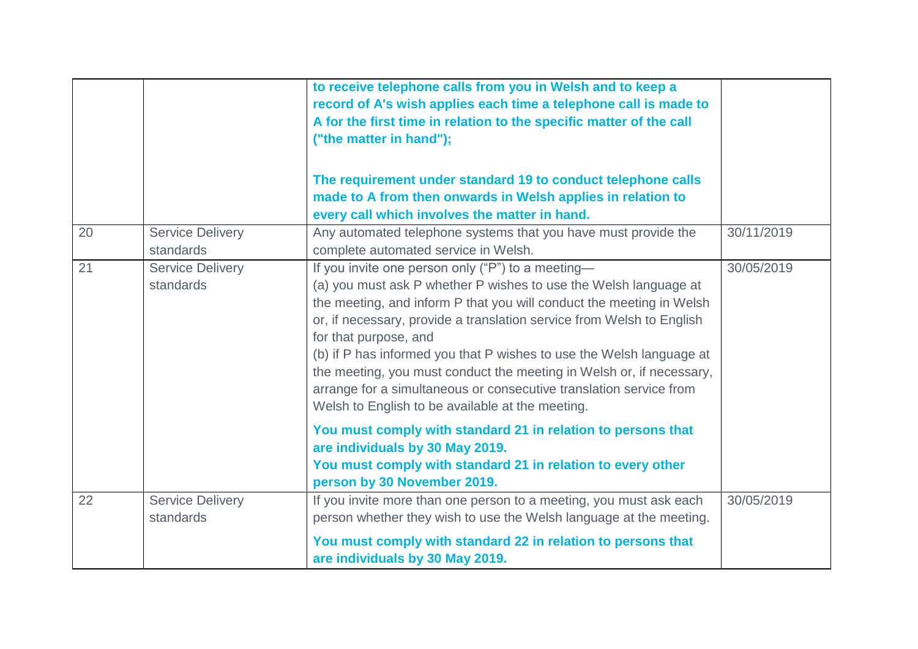|    |                                      | to receive telephone calls from you in Welsh and to keep a<br>record of A's wish applies each time a telephone call is made to<br>A for the first time in relation to the specific matter of the call<br>("the matter in hand");                                                                                                                                                                                                                                                                                                                                          |            |
|----|--------------------------------------|---------------------------------------------------------------------------------------------------------------------------------------------------------------------------------------------------------------------------------------------------------------------------------------------------------------------------------------------------------------------------------------------------------------------------------------------------------------------------------------------------------------------------------------------------------------------------|------------|
|    |                                      | The requirement under standard 19 to conduct telephone calls<br>made to A from then onwards in Welsh applies in relation to<br>every call which involves the matter in hand.                                                                                                                                                                                                                                                                                                                                                                                              |            |
| 20 | <b>Service Delivery</b><br>standards | Any automated telephone systems that you have must provide the<br>complete automated service in Welsh.                                                                                                                                                                                                                                                                                                                                                                                                                                                                    | 30/11/2019 |
| 21 | <b>Service Delivery</b><br>standards | If you invite one person only ("P") to a meeting-<br>(a) you must ask P whether P wishes to use the Welsh language at<br>the meeting, and inform P that you will conduct the meeting in Welsh<br>or, if necessary, provide a translation service from Welsh to English<br>for that purpose, and<br>(b) if P has informed you that P wishes to use the Welsh language at<br>the meeting, you must conduct the meeting in Welsh or, if necessary,<br>arrange for a simultaneous or consecutive translation service from<br>Welsh to English to be available at the meeting. | 30/05/2019 |
|    |                                      | You must comply with standard 21 in relation to persons that<br>are individuals by 30 May 2019.<br>You must comply with standard 21 in relation to every other<br>person by 30 November 2019.                                                                                                                                                                                                                                                                                                                                                                             |            |
| 22 | <b>Service Delivery</b><br>standards | If you invite more than one person to a meeting, you must ask each<br>person whether they wish to use the Welsh language at the meeting.                                                                                                                                                                                                                                                                                                                                                                                                                                  | 30/05/2019 |
|    |                                      | You must comply with standard 22 in relation to persons that<br>are individuals by 30 May 2019.                                                                                                                                                                                                                                                                                                                                                                                                                                                                           |            |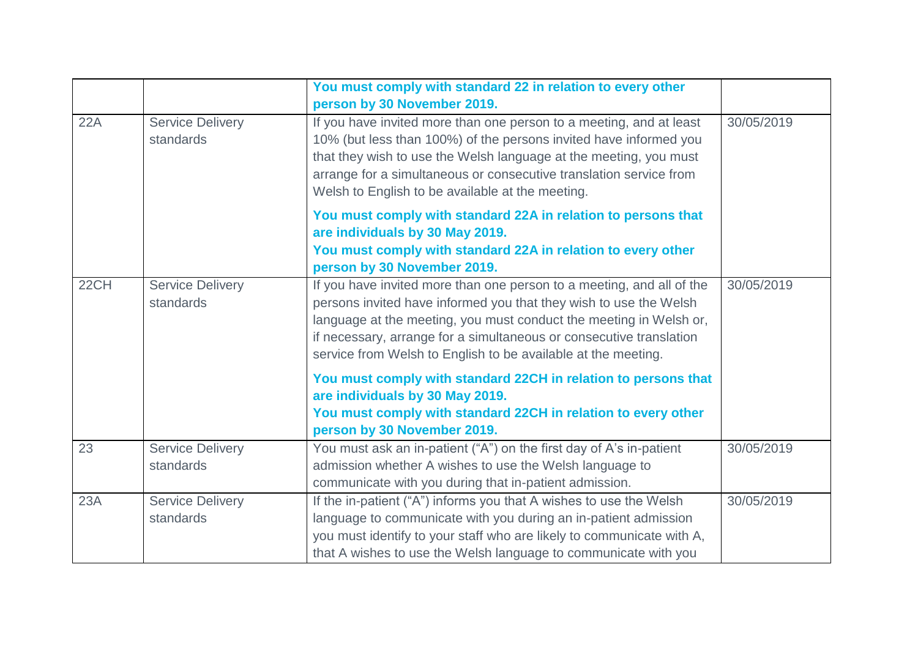|      |                                      | You must comply with standard 22 in relation to every other<br>person by 30 November 2019.                                                                                                                                                                                                                                                               |            |
|------|--------------------------------------|----------------------------------------------------------------------------------------------------------------------------------------------------------------------------------------------------------------------------------------------------------------------------------------------------------------------------------------------------------|------------|
| 22A  | <b>Service Delivery</b><br>standards | If you have invited more than one person to a meeting, and at least<br>10% (but less than 100%) of the persons invited have informed you<br>that they wish to use the Welsh language at the meeting, you must<br>arrange for a simultaneous or consecutive translation service from<br>Welsh to English to be available at the meeting.                  | 30/05/2019 |
|      |                                      | You must comply with standard 22A in relation to persons that<br>are individuals by 30 May 2019.<br>You must comply with standard 22A in relation to every other<br>person by 30 November 2019.                                                                                                                                                          |            |
| 22CH | <b>Service Delivery</b><br>standards | If you have invited more than one person to a meeting, and all of the<br>persons invited have informed you that they wish to use the Welsh<br>language at the meeting, you must conduct the meeting in Welsh or,<br>if necessary, arrange for a simultaneous or consecutive translation<br>service from Welsh to English to be available at the meeting. | 30/05/2019 |
|      |                                      | You must comply with standard 22CH in relation to persons that<br>are individuals by 30 May 2019.<br>You must comply with standard 22CH in relation to every other<br>person by 30 November 2019.                                                                                                                                                        |            |
| 23   | <b>Service Delivery</b><br>standards | You must ask an in-patient ("A") on the first day of A's in-patient<br>admission whether A wishes to use the Welsh language to<br>communicate with you during that in-patient admission.                                                                                                                                                                 | 30/05/2019 |
| 23A  | <b>Service Delivery</b><br>standards | If the in-patient ("A") informs you that A wishes to use the Welsh<br>language to communicate with you during an in-patient admission<br>you must identify to your staff who are likely to communicate with A,<br>that A wishes to use the Welsh language to communicate with you                                                                        | 30/05/2019 |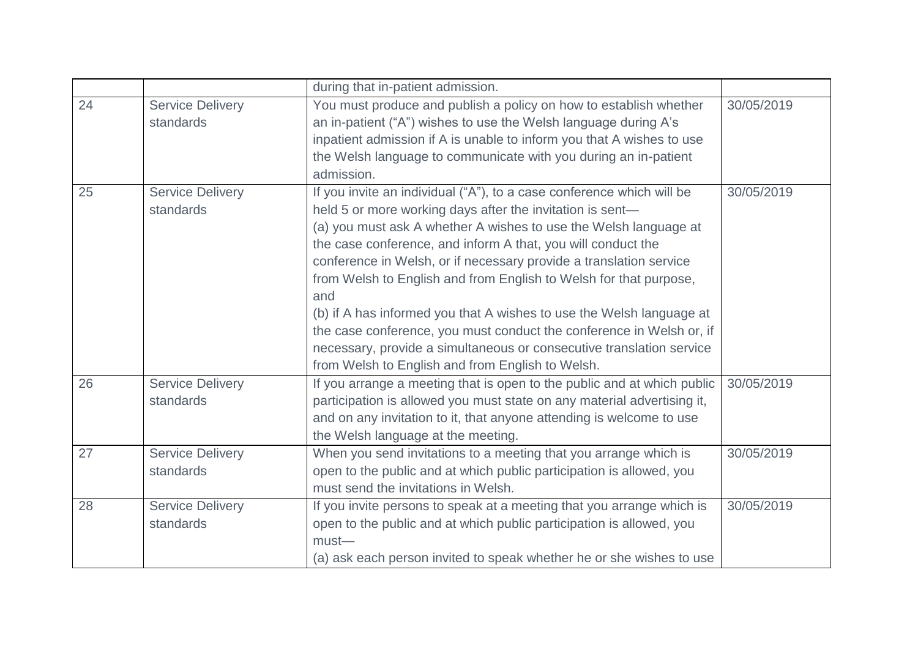|    |                                      | during that in-patient admission.                                                                                                                                                                                                                                                                                                                                                                                                                                                                                                                                                                                                                                                                    |            |
|----|--------------------------------------|------------------------------------------------------------------------------------------------------------------------------------------------------------------------------------------------------------------------------------------------------------------------------------------------------------------------------------------------------------------------------------------------------------------------------------------------------------------------------------------------------------------------------------------------------------------------------------------------------------------------------------------------------------------------------------------------------|------------|
| 24 | <b>Service Delivery</b><br>standards | You must produce and publish a policy on how to establish whether<br>an in-patient ("A") wishes to use the Welsh language during A's<br>inpatient admission if A is unable to inform you that A wishes to use<br>the Welsh language to communicate with you during an in-patient<br>admission.                                                                                                                                                                                                                                                                                                                                                                                                       | 30/05/2019 |
| 25 | <b>Service Delivery</b><br>standards | If you invite an individual ("A"), to a case conference which will be<br>held 5 or more working days after the invitation is sent-<br>(a) you must ask A whether A wishes to use the Welsh language at<br>the case conference, and inform A that, you will conduct the<br>conference in Welsh, or if necessary provide a translation service<br>from Welsh to English and from English to Welsh for that purpose,<br>and<br>(b) if A has informed you that A wishes to use the Welsh language at<br>the case conference, you must conduct the conference in Welsh or, if<br>necessary, provide a simultaneous or consecutive translation service<br>from Welsh to English and from English to Welsh. | 30/05/2019 |
| 26 | <b>Service Delivery</b><br>standards | If you arrange a meeting that is open to the public and at which public<br>participation is allowed you must state on any material advertising it,<br>and on any invitation to it, that anyone attending is welcome to use<br>the Welsh language at the meeting.                                                                                                                                                                                                                                                                                                                                                                                                                                     | 30/05/2019 |
| 27 | <b>Service Delivery</b><br>standards | When you send invitations to a meeting that you arrange which is<br>open to the public and at which public participation is allowed, you<br>must send the invitations in Welsh.                                                                                                                                                                                                                                                                                                                                                                                                                                                                                                                      | 30/05/2019 |
| 28 | <b>Service Delivery</b><br>standards | If you invite persons to speak at a meeting that you arrange which is<br>open to the public and at which public participation is allowed, you<br>$must$ —<br>(a) ask each person invited to speak whether he or she wishes to use                                                                                                                                                                                                                                                                                                                                                                                                                                                                    | 30/05/2019 |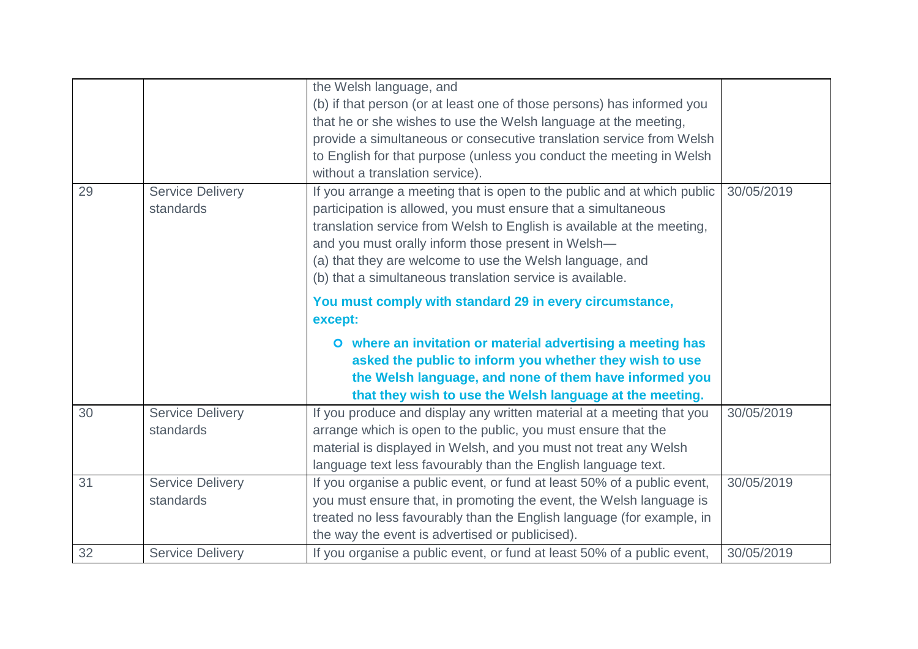|    |                         | the Welsh language, and                                                 |            |
|----|-------------------------|-------------------------------------------------------------------------|------------|
|    |                         | (b) if that person (or at least one of those persons) has informed you  |            |
|    |                         | that he or she wishes to use the Welsh language at the meeting,         |            |
|    |                         | provide a simultaneous or consecutive translation service from Welsh    |            |
|    |                         | to English for that purpose (unless you conduct the meeting in Welsh    |            |
|    |                         | without a translation service).                                         |            |
| 29 | <b>Service Delivery</b> | If you arrange a meeting that is open to the public and at which public | 30/05/2019 |
|    | standards               | participation is allowed, you must ensure that a simultaneous           |            |
|    |                         | translation service from Welsh to English is available at the meeting,  |            |
|    |                         | and you must orally inform those present in Welsh-                      |            |
|    |                         | (a) that they are welcome to use the Welsh language, and                |            |
|    |                         | (b) that a simultaneous translation service is available.               |            |
|    |                         | You must comply with standard 29 in every circumstance,                 |            |
|    |                         | except:                                                                 |            |
|    |                         | O where an invitation or material advertising a meeting has             |            |
|    |                         | asked the public to inform you whether they wish to use                 |            |
|    |                         | the Welsh language, and none of them have informed you                  |            |
|    |                         | that they wish to use the Welsh language at the meeting.                |            |
| 30 | <b>Service Delivery</b> | If you produce and display any written material at a meeting that you   | 30/05/2019 |
|    | standards               | arrange which is open to the public, you must ensure that the           |            |
|    |                         | material is displayed in Welsh, and you must not treat any Welsh        |            |
|    |                         | language text less favourably than the English language text.           |            |
| 31 | <b>Service Delivery</b> | If you organise a public event, or fund at least 50% of a public event, | 30/05/2019 |
|    | standards               | you must ensure that, in promoting the event, the Welsh language is     |            |
|    |                         | treated no less favourably than the English language (for example, in   |            |
|    |                         | the way the event is advertised or publicised).                         |            |
| 32 | <b>Service Delivery</b> | If you organise a public event, or fund at least 50% of a public event, | 30/05/2019 |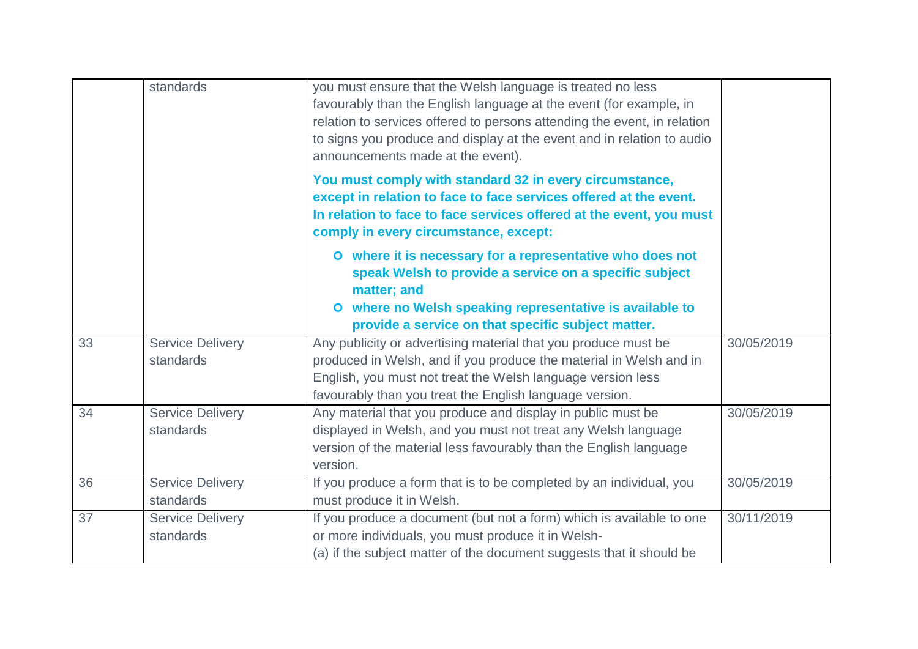|    | standards                            | you must ensure that the Welsh language is treated no less<br>favourably than the English language at the event (for example, in<br>relation to services offered to persons attending the event, in relation<br>to signs you produce and display at the event and in relation to audio<br>announcements made at the event). |            |
|----|--------------------------------------|-----------------------------------------------------------------------------------------------------------------------------------------------------------------------------------------------------------------------------------------------------------------------------------------------------------------------------|------------|
|    |                                      | You must comply with standard 32 in every circumstance,<br>except in relation to face to face services offered at the event.<br>In relation to face to face services offered at the event, you must<br>comply in every circumstance, except:                                                                                |            |
|    |                                      | O where it is necessary for a representative who does not<br>speak Welsh to provide a service on a specific subject<br>matter; and<br>where no Welsh speaking representative is available to<br>$\bullet$<br>provide a service on that specific subject matter.                                                             |            |
| 33 | <b>Service Delivery</b><br>standards | Any publicity or advertising material that you produce must be<br>produced in Welsh, and if you produce the material in Welsh and in<br>English, you must not treat the Welsh language version less<br>favourably than you treat the English language version.                                                              | 30/05/2019 |
| 34 | <b>Service Delivery</b><br>standards | Any material that you produce and display in public must be<br>displayed in Welsh, and you must not treat any Welsh language<br>version of the material less favourably than the English language<br>version.                                                                                                               | 30/05/2019 |
| 36 | <b>Service Delivery</b><br>standards | If you produce a form that is to be completed by an individual, you<br>must produce it in Welsh.                                                                                                                                                                                                                            | 30/05/2019 |
| 37 | <b>Service Delivery</b><br>standards | If you produce a document (but not a form) which is available to one<br>or more individuals, you must produce it in Welsh-<br>(a) if the subject matter of the document suggests that it should be                                                                                                                          | 30/11/2019 |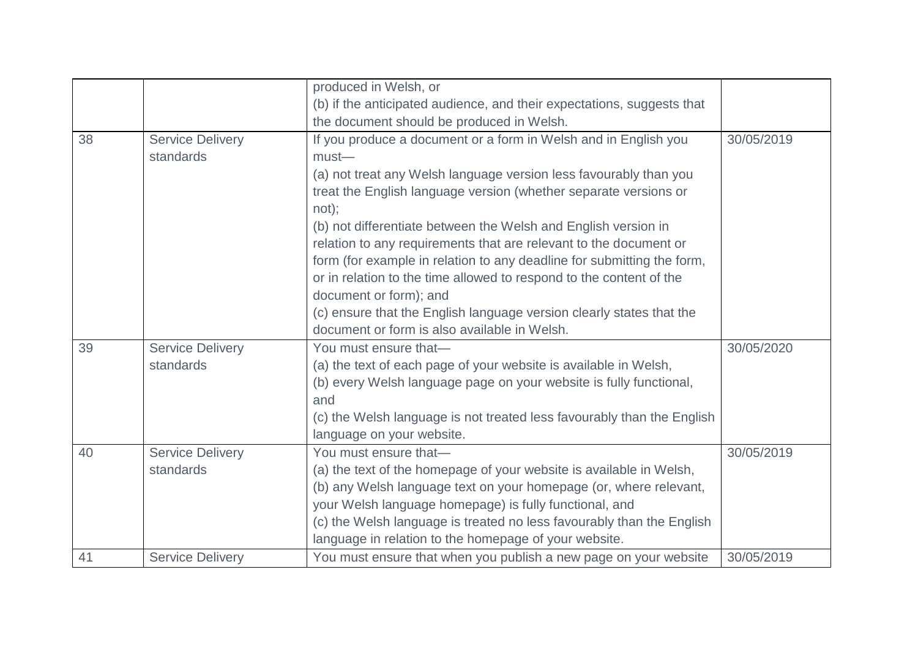|    |                         | produced in Welsh, or                                                  |            |
|----|-------------------------|------------------------------------------------------------------------|------------|
|    |                         | (b) if the anticipated audience, and their expectations, suggests that |            |
|    |                         | the document should be produced in Welsh.                              |            |
| 38 | <b>Service Delivery</b> | If you produce a document or a form in Welsh and in English you        | 30/05/2019 |
|    | standards               | $must$ —                                                               |            |
|    |                         | (a) not treat any Welsh language version less favourably than you      |            |
|    |                         | treat the English language version (whether separate versions or       |            |
|    |                         | not);                                                                  |            |
|    |                         | (b) not differentiate between the Welsh and English version in         |            |
|    |                         | relation to any requirements that are relevant to the document or      |            |
|    |                         | form (for example in relation to any deadline for submitting the form, |            |
|    |                         | or in relation to the time allowed to respond to the content of the    |            |
|    |                         | document or form); and                                                 |            |
|    |                         | (c) ensure that the English language version clearly states that the   |            |
|    |                         | document or form is also available in Welsh.                           |            |
| 39 | <b>Service Delivery</b> | You must ensure that-                                                  | 30/05/2020 |
|    | standards               | (a) the text of each page of your website is available in Welsh,       |            |
|    |                         | (b) every Welsh language page on your website is fully functional,     |            |
|    |                         | and                                                                    |            |
|    |                         | (c) the Welsh language is not treated less favourably than the English |            |
|    |                         | language on your website.                                              |            |
| 40 | <b>Service Delivery</b> | You must ensure that-                                                  | 30/05/2019 |
|    | standards               | (a) the text of the homepage of your website is available in Welsh,    |            |
|    |                         | (b) any Welsh language text on your homepage (or, where relevant,      |            |
|    |                         | your Welsh language homepage) is fully functional, and                 |            |
|    |                         | (c) the Welsh language is treated no less favourably than the English  |            |
|    |                         | language in relation to the homepage of your website.                  |            |
| 41 | <b>Service Delivery</b> | You must ensure that when you publish a new page on your website       | 30/05/2019 |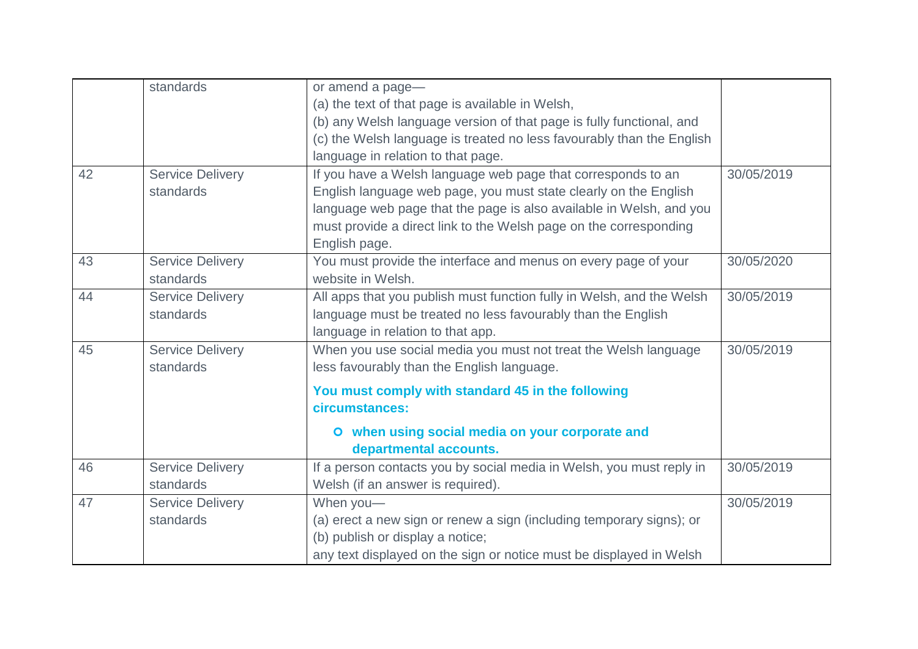|    | standards               | or amend a page-                                                      |            |
|----|-------------------------|-----------------------------------------------------------------------|------------|
|    |                         | (a) the text of that page is available in Welsh,                      |            |
|    |                         | (b) any Welsh language version of that page is fully functional, and  |            |
|    |                         | (c) the Welsh language is treated no less favourably than the English |            |
|    |                         | language in relation to that page.                                    |            |
| 42 | <b>Service Delivery</b> | If you have a Welsh language web page that corresponds to an          | 30/05/2019 |
|    | standards               | English language web page, you must state clearly on the English      |            |
|    |                         | language web page that the page is also available in Welsh, and you   |            |
|    |                         | must provide a direct link to the Welsh page on the corresponding     |            |
|    |                         | English page.                                                         |            |
| 43 | <b>Service Delivery</b> | You must provide the interface and menus on every page of your        | 30/05/2020 |
|    | standards               | website in Welsh.                                                     |            |
| 44 | <b>Service Delivery</b> | All apps that you publish must function fully in Welsh, and the Welsh | 30/05/2019 |
|    | standards               | language must be treated no less favourably than the English          |            |
|    |                         | language in relation to that app.                                     |            |
| 45 | <b>Service Delivery</b> | When you use social media you must not treat the Welsh language       | 30/05/2019 |
|    | standards               | less favourably than the English language.                            |            |
|    |                         | You must comply with standard 45 in the following                     |            |
|    |                         | circumstances:                                                        |            |
|    |                         | O when using social media on your corporate and                       |            |
|    |                         | departmental accounts.                                                |            |
| 46 | <b>Service Delivery</b> | If a person contacts you by social media in Welsh, you must reply in  | 30/05/2019 |
|    | standards               | Welsh (if an answer is required).                                     |            |
| 47 | <b>Service Delivery</b> | When you-                                                             | 30/05/2019 |
|    | standards               | (a) erect a new sign or renew a sign (including temporary signs); or  |            |
|    |                         | (b) publish or display a notice;                                      |            |
|    |                         | any text displayed on the sign or notice must be displayed in Welsh   |            |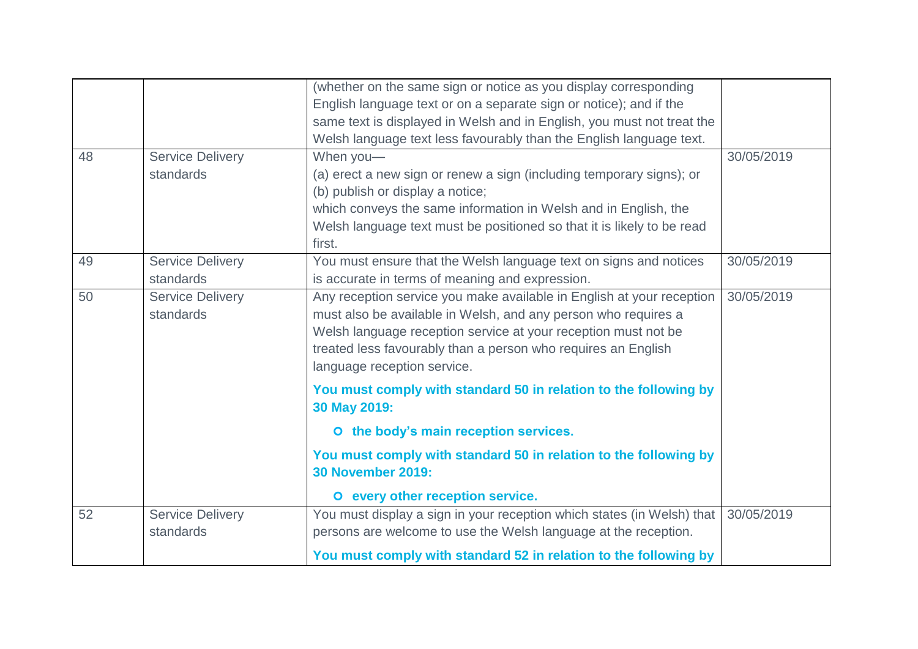|    |                         | (whether on the same sign or notice as you display corresponding       |            |
|----|-------------------------|------------------------------------------------------------------------|------------|
|    |                         | English language text or on a separate sign or notice); and if the     |            |
|    |                         | same text is displayed in Welsh and in English, you must not treat the |            |
|    |                         | Welsh language text less favourably than the English language text.    |            |
| 48 | <b>Service Delivery</b> | When you-                                                              | 30/05/2019 |
|    | standards               | (a) erect a new sign or renew a sign (including temporary signs); or   |            |
|    |                         | (b) publish or display a notice;                                       |            |
|    |                         | which conveys the same information in Welsh and in English, the        |            |
|    |                         | Welsh language text must be positioned so that it is likely to be read |            |
|    |                         | first.                                                                 |            |
| 49 | <b>Service Delivery</b> | You must ensure that the Welsh language text on signs and notices      | 30/05/2019 |
|    | standards               | is accurate in terms of meaning and expression.                        |            |
| 50 | <b>Service Delivery</b> | Any reception service you make available in English at your reception  | 30/05/2019 |
|    | standards               | must also be available in Welsh, and any person who requires a         |            |
|    |                         | Welsh language reception service at your reception must not be         |            |
|    |                         | treated less favourably than a person who requires an English          |            |
|    |                         | language reception service.                                            |            |
|    |                         | You must comply with standard 50 in relation to the following by       |            |
|    |                         | 30 May 2019:                                                           |            |
|    |                         | O the body's main reception services.                                  |            |
|    |                         | You must comply with standard 50 in relation to the following by       |            |
|    |                         | <b>30 November 2019:</b>                                               |            |
|    |                         | O every other reception service.                                       |            |
| 52 | <b>Service Delivery</b> | You must display a sign in your reception which states (in Welsh) that | 30/05/2019 |
|    | standards               | persons are welcome to use the Welsh language at the reception.        |            |
|    |                         | You must comply with standard 52 in relation to the following by       |            |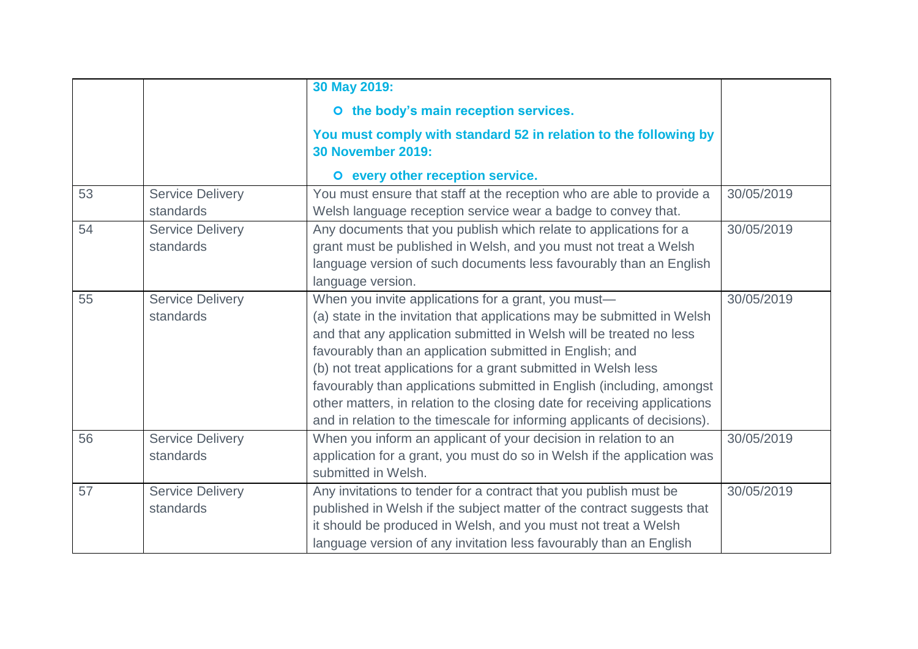|    |                                      | 30 May 2019:                                                                                                                                                                                                                                                                                                                                                                                                                                                                                                                                                          |            |
|----|--------------------------------------|-----------------------------------------------------------------------------------------------------------------------------------------------------------------------------------------------------------------------------------------------------------------------------------------------------------------------------------------------------------------------------------------------------------------------------------------------------------------------------------------------------------------------------------------------------------------------|------------|
|    |                                      | O the body's main reception services.                                                                                                                                                                                                                                                                                                                                                                                                                                                                                                                                 |            |
|    |                                      | You must comply with standard 52 in relation to the following by<br><b>30 November 2019:</b>                                                                                                                                                                                                                                                                                                                                                                                                                                                                          |            |
|    |                                      | O every other reception service.                                                                                                                                                                                                                                                                                                                                                                                                                                                                                                                                      |            |
| 53 | <b>Service Delivery</b><br>standards | You must ensure that staff at the reception who are able to provide a<br>Welsh language reception service wear a badge to convey that.                                                                                                                                                                                                                                                                                                                                                                                                                                | 30/05/2019 |
| 54 | <b>Service Delivery</b><br>standards | Any documents that you publish which relate to applications for a<br>grant must be published in Welsh, and you must not treat a Welsh<br>language version of such documents less favourably than an English<br>language version.                                                                                                                                                                                                                                                                                                                                      | 30/05/2019 |
| 55 | <b>Service Delivery</b><br>standards | When you invite applications for a grant, you must-<br>(a) state in the invitation that applications may be submitted in Welsh<br>and that any application submitted in Welsh will be treated no less<br>favourably than an application submitted in English; and<br>(b) not treat applications for a grant submitted in Welsh less<br>favourably than applications submitted in English (including, amongst<br>other matters, in relation to the closing date for receiving applications<br>and in relation to the timescale for informing applicants of decisions). | 30/05/2019 |
| 56 | <b>Service Delivery</b><br>standards | When you inform an applicant of your decision in relation to an<br>application for a grant, you must do so in Welsh if the application was<br>submitted in Welsh.                                                                                                                                                                                                                                                                                                                                                                                                     | 30/05/2019 |
| 57 | <b>Service Delivery</b><br>standards | Any invitations to tender for a contract that you publish must be<br>published in Welsh if the subject matter of the contract suggests that<br>it should be produced in Welsh, and you must not treat a Welsh<br>language version of any invitation less favourably than an English                                                                                                                                                                                                                                                                                   | 30/05/2019 |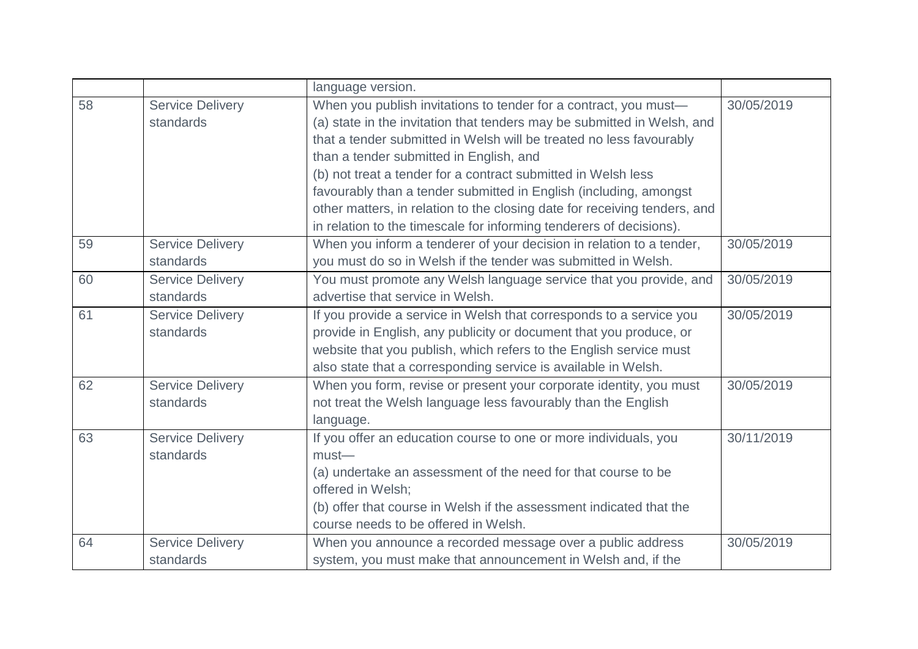|    |                                      | language version.                                                                                                                                                                                                                                                                                                                                                                                                                                                                                                                                       |            |
|----|--------------------------------------|---------------------------------------------------------------------------------------------------------------------------------------------------------------------------------------------------------------------------------------------------------------------------------------------------------------------------------------------------------------------------------------------------------------------------------------------------------------------------------------------------------------------------------------------------------|------------|
| 58 | <b>Service Delivery</b><br>standards | When you publish invitations to tender for a contract, you must-<br>(a) state in the invitation that tenders may be submitted in Welsh, and<br>that a tender submitted in Welsh will be treated no less favourably<br>than a tender submitted in English, and<br>(b) not treat a tender for a contract submitted in Welsh less<br>favourably than a tender submitted in English (including, amongst<br>other matters, in relation to the closing date for receiving tenders, and<br>in relation to the timescale for informing tenderers of decisions). | 30/05/2019 |
| 59 | <b>Service Delivery</b><br>standards | When you inform a tenderer of your decision in relation to a tender,<br>you must do so in Welsh if the tender was submitted in Welsh.                                                                                                                                                                                                                                                                                                                                                                                                                   | 30/05/2019 |
| 60 | <b>Service Delivery</b><br>standards | You must promote any Welsh language service that you provide, and<br>advertise that service in Welsh.                                                                                                                                                                                                                                                                                                                                                                                                                                                   | 30/05/2019 |
| 61 | <b>Service Delivery</b><br>standards | If you provide a service in Welsh that corresponds to a service you<br>provide in English, any publicity or document that you produce, or<br>website that you publish, which refers to the English service must<br>also state that a corresponding service is available in Welsh.                                                                                                                                                                                                                                                                       | 30/05/2019 |
| 62 | <b>Service Delivery</b><br>standards | When you form, revise or present your corporate identity, you must<br>not treat the Welsh language less favourably than the English<br>language.                                                                                                                                                                                                                                                                                                                                                                                                        | 30/05/2019 |
| 63 | <b>Service Delivery</b><br>standards | If you offer an education course to one or more individuals, you<br>$must$ —<br>(a) undertake an assessment of the need for that course to be<br>offered in Welsh;<br>(b) offer that course in Welsh if the assessment indicated that the<br>course needs to be offered in Welsh.                                                                                                                                                                                                                                                                       | 30/11/2019 |
| 64 | <b>Service Delivery</b><br>standards | When you announce a recorded message over a public address<br>system, you must make that announcement in Welsh and, if the                                                                                                                                                                                                                                                                                                                                                                                                                              | 30/05/2019 |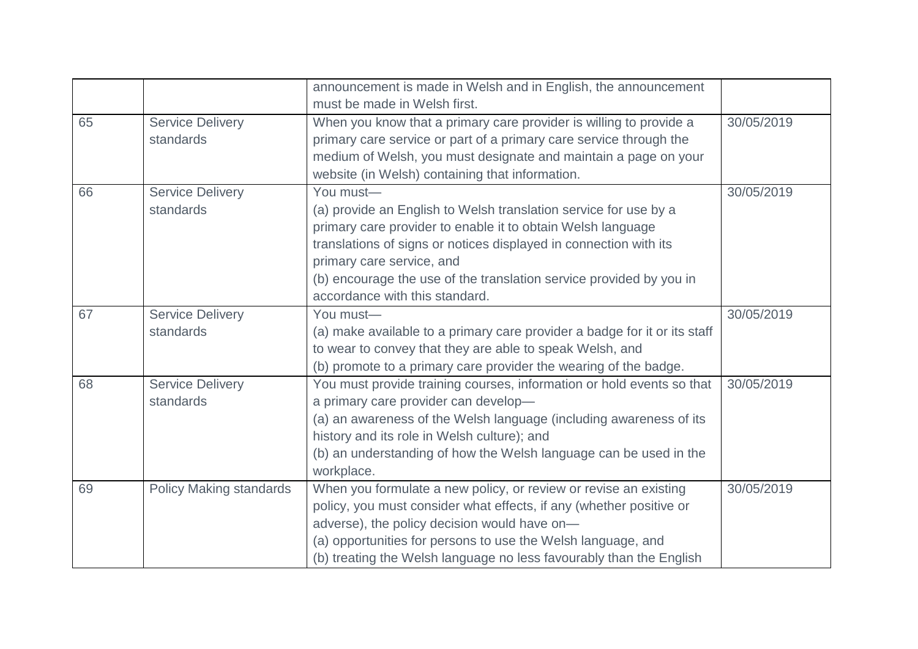|    |                                      | announcement is made in Welsh and in English, the announcement<br>must be made in Welsh first.                                                                                                                                                                                                                                                          |            |
|----|--------------------------------------|---------------------------------------------------------------------------------------------------------------------------------------------------------------------------------------------------------------------------------------------------------------------------------------------------------------------------------------------------------|------------|
| 65 | <b>Service Delivery</b><br>standards | When you know that a primary care provider is willing to provide a<br>primary care service or part of a primary care service through the<br>medium of Welsh, you must designate and maintain a page on your<br>website (in Welsh) containing that information.                                                                                          | 30/05/2019 |
| 66 | <b>Service Delivery</b><br>standards | You must-<br>(a) provide an English to Welsh translation service for use by a<br>primary care provider to enable it to obtain Welsh language<br>translations of signs or notices displayed in connection with its<br>primary care service, and<br>(b) encourage the use of the translation service provided by you in<br>accordance with this standard. | 30/05/2019 |
| 67 | <b>Service Delivery</b><br>standards | You must-<br>(a) make available to a primary care provider a badge for it or its staff<br>to wear to convey that they are able to speak Welsh, and<br>(b) promote to a primary care provider the wearing of the badge.                                                                                                                                  | 30/05/2019 |
| 68 | <b>Service Delivery</b><br>standards | You must provide training courses, information or hold events so that<br>a primary care provider can develop-<br>(a) an awareness of the Welsh language (including awareness of its<br>history and its role in Welsh culture); and<br>(b) an understanding of how the Welsh language can be used in the<br>workplace.                                   | 30/05/2019 |
| 69 | <b>Policy Making standards</b>       | When you formulate a new policy, or review or revise an existing<br>policy, you must consider what effects, if any (whether positive or<br>adverse), the policy decision would have on-<br>(a) opportunities for persons to use the Welsh language, and<br>(b) treating the Welsh language no less favourably than the English                          | 30/05/2019 |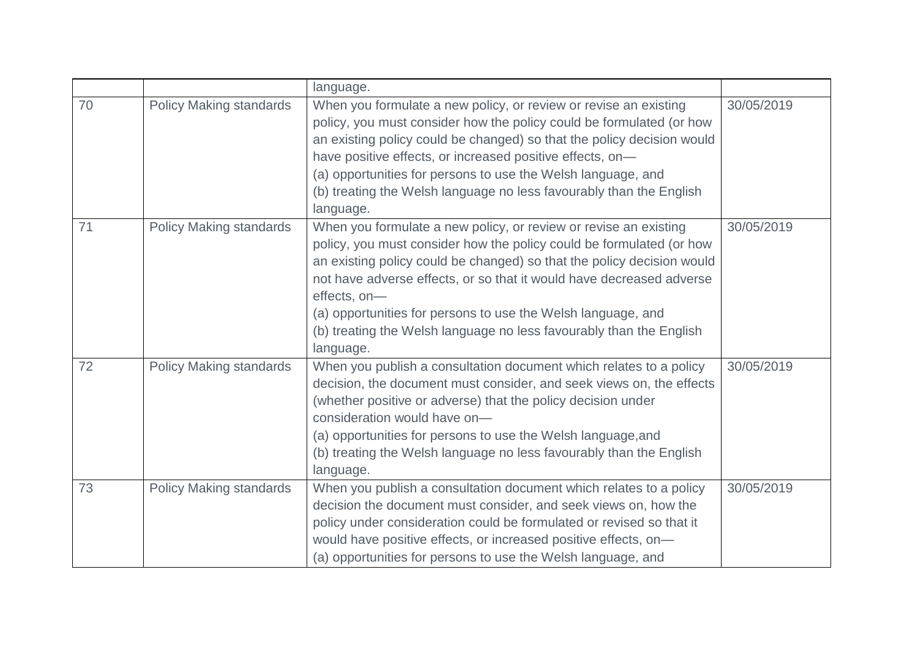|    |                                | language.                                                                                                                                                                                                                                                                                                                                                                                                                                                      |            |
|----|--------------------------------|----------------------------------------------------------------------------------------------------------------------------------------------------------------------------------------------------------------------------------------------------------------------------------------------------------------------------------------------------------------------------------------------------------------------------------------------------------------|------------|
| 70 | <b>Policy Making standards</b> | When you formulate a new policy, or review or revise an existing<br>policy, you must consider how the policy could be formulated (or how<br>an existing policy could be changed) so that the policy decision would<br>have positive effects, or increased positive effects, on-<br>(a) opportunities for persons to use the Welsh language, and<br>(b) treating the Welsh language no less favourably than the English<br>language.                            | 30/05/2019 |
| 71 | <b>Policy Making standards</b> | When you formulate a new policy, or review or revise an existing<br>policy, you must consider how the policy could be formulated (or how<br>an existing policy could be changed) so that the policy decision would<br>not have adverse effects, or so that it would have decreased adverse<br>effects, on-<br>(a) opportunities for persons to use the Welsh language, and<br>(b) treating the Welsh language no less favourably than the English<br>language. | 30/05/2019 |
| 72 | <b>Policy Making standards</b> | When you publish a consultation document which relates to a policy<br>decision, the document must consider, and seek views on, the effects<br>(whether positive or adverse) that the policy decision under<br>consideration would have on-<br>(a) opportunities for persons to use the Welsh language, and<br>(b) treating the Welsh language no less favourably than the English<br>language.                                                                 | 30/05/2019 |
| 73 | <b>Policy Making standards</b> | When you publish a consultation document which relates to a policy<br>decision the document must consider, and seek views on, how the<br>policy under consideration could be formulated or revised so that it<br>would have positive effects, or increased positive effects, on-<br>(a) opportunities for persons to use the Welsh language, and                                                                                                               | 30/05/2019 |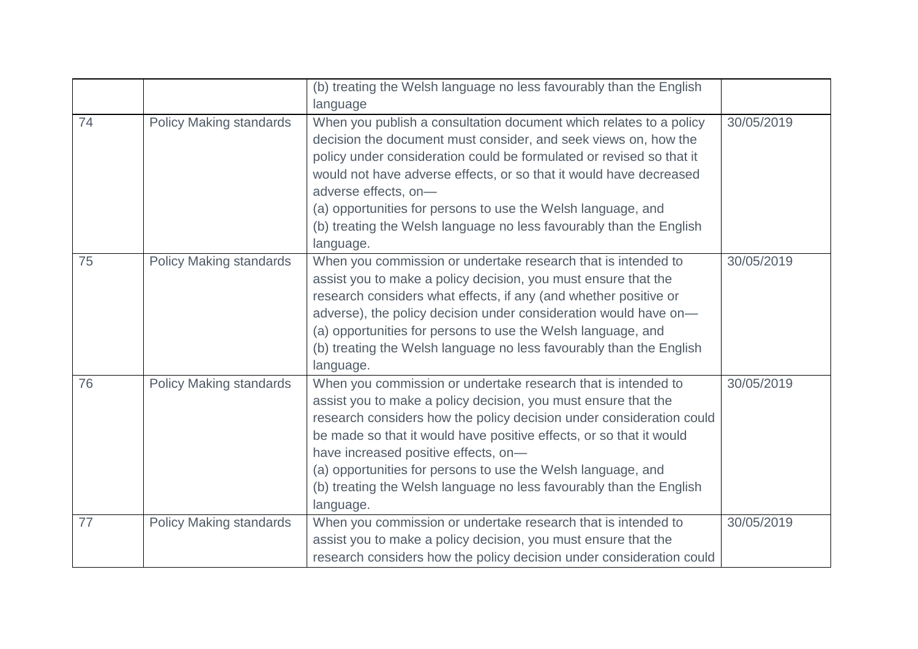|    |                                | (b) treating the Welsh language no less favourably than the English                                                                                                                                                                                                                                                                                                                                                                                                        |            |
|----|--------------------------------|----------------------------------------------------------------------------------------------------------------------------------------------------------------------------------------------------------------------------------------------------------------------------------------------------------------------------------------------------------------------------------------------------------------------------------------------------------------------------|------------|
|    |                                | language                                                                                                                                                                                                                                                                                                                                                                                                                                                                   |            |
| 74 | <b>Policy Making standards</b> | When you publish a consultation document which relates to a policy<br>decision the document must consider, and seek views on, how the<br>policy under consideration could be formulated or revised so that it<br>would not have adverse effects, or so that it would have decreased<br>adverse effects, on-<br>(a) opportunities for persons to use the Welsh language, and<br>(b) treating the Welsh language no less favourably than the English<br>language.            | 30/05/2019 |
| 75 | <b>Policy Making standards</b> | When you commission or undertake research that is intended to<br>assist you to make a policy decision, you must ensure that the<br>research considers what effects, if any (and whether positive or<br>adverse), the policy decision under consideration would have on-<br>(a) opportunities for persons to use the Welsh language, and<br>(b) treating the Welsh language no less favourably than the English<br>language.                                                | 30/05/2019 |
| 76 | <b>Policy Making standards</b> | When you commission or undertake research that is intended to<br>assist you to make a policy decision, you must ensure that the<br>research considers how the policy decision under consideration could<br>be made so that it would have positive effects, or so that it would<br>have increased positive effects, on-<br>(a) opportunities for persons to use the Welsh language, and<br>(b) treating the Welsh language no less favourably than the English<br>language. | 30/05/2019 |
| 77 | <b>Policy Making standards</b> | When you commission or undertake research that is intended to<br>assist you to make a policy decision, you must ensure that the<br>research considers how the policy decision under consideration could                                                                                                                                                                                                                                                                    | 30/05/2019 |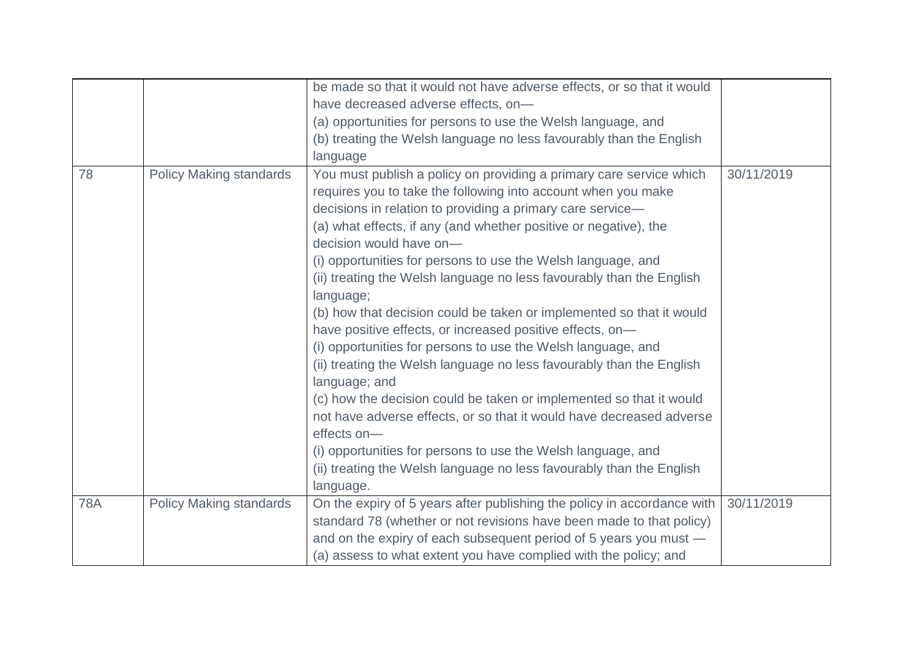|            |                                | be made so that it would not have adverse effects, or so that it would<br>have decreased adverse effects, on-<br>(a) opportunities for persons to use the Welsh language, and<br>(b) treating the Welsh language no less favourably than the English                                                                                                                                                                                                                                                                                                                                                                                                                                                                                                                                                                                                                                                                                                                                                                                                                    |            |
|------------|--------------------------------|-------------------------------------------------------------------------------------------------------------------------------------------------------------------------------------------------------------------------------------------------------------------------------------------------------------------------------------------------------------------------------------------------------------------------------------------------------------------------------------------------------------------------------------------------------------------------------------------------------------------------------------------------------------------------------------------------------------------------------------------------------------------------------------------------------------------------------------------------------------------------------------------------------------------------------------------------------------------------------------------------------------------------------------------------------------------------|------------|
|            |                                | language                                                                                                                                                                                                                                                                                                                                                                                                                                                                                                                                                                                                                                                                                                                                                                                                                                                                                                                                                                                                                                                                |            |
| 78         | <b>Policy Making standards</b> | You must publish a policy on providing a primary care service which<br>requires you to take the following into account when you make<br>decisions in relation to providing a primary care service-<br>(a) what effects, if any (and whether positive or negative), the<br>decision would have on-<br>(i) opportunities for persons to use the Welsh language, and<br>(ii) treating the Welsh language no less favourably than the English<br>language;<br>(b) how that decision could be taken or implemented so that it would<br>have positive effects, or increased positive effects, on-<br>(i) opportunities for persons to use the Welsh language, and<br>(ii) treating the Welsh language no less favourably than the English<br>language; and<br>(c) how the decision could be taken or implemented so that it would<br>not have adverse effects, or so that it would have decreased adverse<br>effects on-<br>(i) opportunities for persons to use the Welsh language, and<br>(ii) treating the Welsh language no less favourably than the English<br>language. | 30/11/2019 |
| <b>78A</b> | <b>Policy Making standards</b> | On the expiry of 5 years after publishing the policy in accordance with<br>standard 78 (whether or not revisions have been made to that policy)<br>and on the expiry of each subsequent period of 5 years you must -<br>(a) assess to what extent you have complied with the policy; and                                                                                                                                                                                                                                                                                                                                                                                                                                                                                                                                                                                                                                                                                                                                                                                | 30/11/2019 |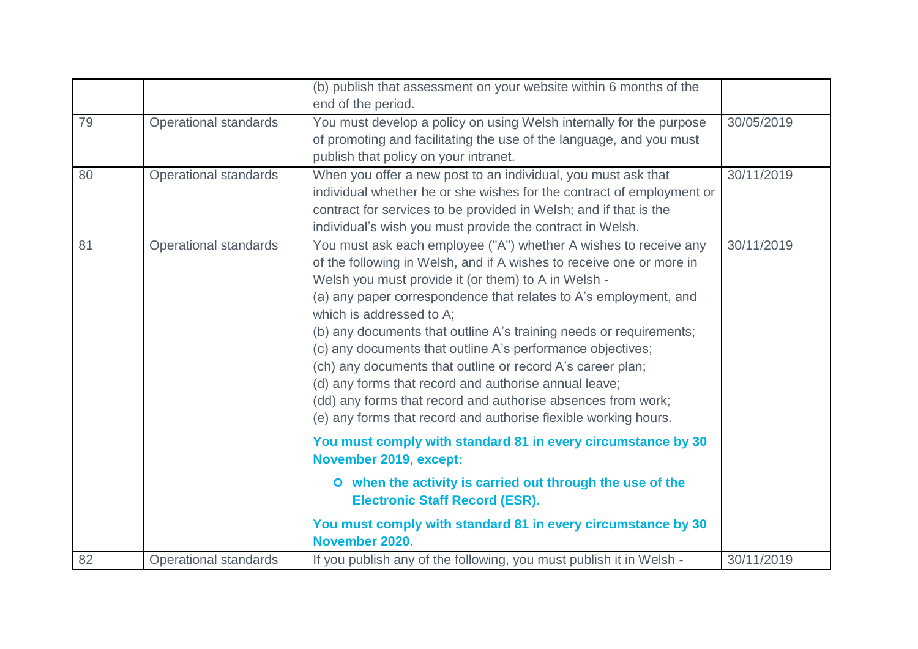|    |                              | (b) publish that assessment on your website within 6 months of the<br>end of the period.                                                                                                                                                                                                                                                                                                                                                                                                                                                                                                                                                                                                                                                                                                                                                                                                                                                                                        |            |
|----|------------------------------|---------------------------------------------------------------------------------------------------------------------------------------------------------------------------------------------------------------------------------------------------------------------------------------------------------------------------------------------------------------------------------------------------------------------------------------------------------------------------------------------------------------------------------------------------------------------------------------------------------------------------------------------------------------------------------------------------------------------------------------------------------------------------------------------------------------------------------------------------------------------------------------------------------------------------------------------------------------------------------|------------|
| 79 | <b>Operational standards</b> | You must develop a policy on using Welsh internally for the purpose<br>of promoting and facilitating the use of the language, and you must<br>publish that policy on your intranet.                                                                                                                                                                                                                                                                                                                                                                                                                                                                                                                                                                                                                                                                                                                                                                                             | 30/05/2019 |
| 80 | <b>Operational standards</b> | When you offer a new post to an individual, you must ask that<br>individual whether he or she wishes for the contract of employment or<br>contract for services to be provided in Welsh; and if that is the<br>individual's wish you must provide the contract in Welsh.                                                                                                                                                                                                                                                                                                                                                                                                                                                                                                                                                                                                                                                                                                        | 30/11/2019 |
| 81 | <b>Operational standards</b> | You must ask each employee ("A") whether A wishes to receive any<br>of the following in Welsh, and if A wishes to receive one or more in<br>Welsh you must provide it (or them) to A in Welsh -<br>(a) any paper correspondence that relates to A's employment, and<br>which is addressed to A;<br>(b) any documents that outline A's training needs or requirements;<br>(c) any documents that outline A's performance objectives;<br>(ch) any documents that outline or record A's career plan;<br>(d) any forms that record and authorise annual leave;<br>(dd) any forms that record and authorise absences from work;<br>(e) any forms that record and authorise flexible working hours.<br>You must comply with standard 81 in every circumstance by 30<br>November 2019, except:<br>O when the activity is carried out through the use of the<br><b>Electronic Staff Record (ESR).</b><br>You must comply with standard 81 in every circumstance by 30<br>November 2020. | 30/11/2019 |
| 82 | <b>Operational standards</b> | If you publish any of the following, you must publish it in Welsh -                                                                                                                                                                                                                                                                                                                                                                                                                                                                                                                                                                                                                                                                                                                                                                                                                                                                                                             | 30/11/2019 |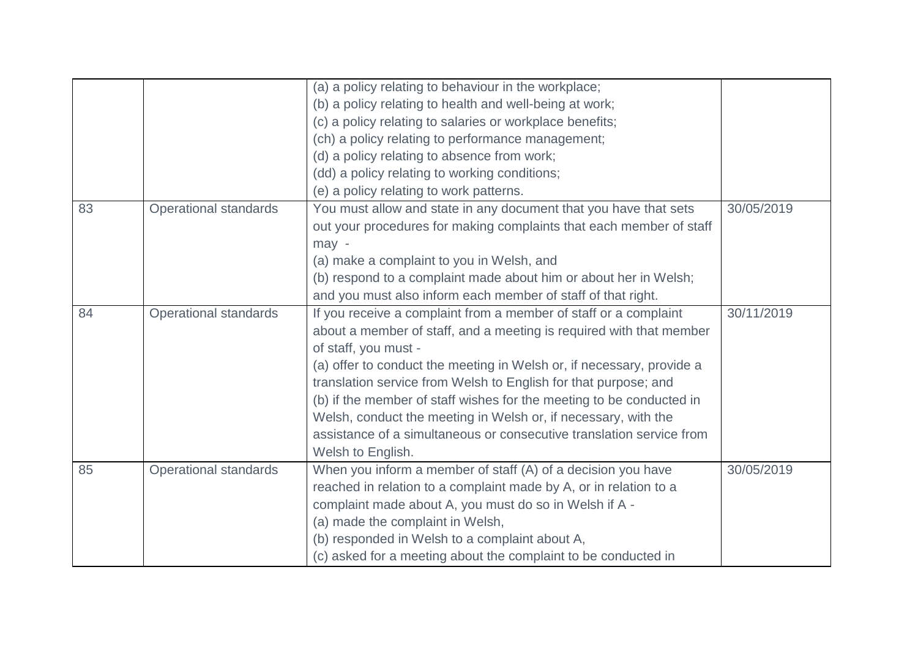|    |                              | (a) a policy relating to behaviour in the workplace;                  |            |
|----|------------------------------|-----------------------------------------------------------------------|------------|
|    |                              | (b) a policy relating to health and well-being at work;               |            |
|    |                              | (c) a policy relating to salaries or workplace benefits;              |            |
|    |                              | (ch) a policy relating to performance management;                     |            |
|    |                              | (d) a policy relating to absence from work;                           |            |
|    |                              | (dd) a policy relating to working conditions;                         |            |
|    |                              | (e) a policy relating to work patterns.                               |            |
| 83 | <b>Operational standards</b> | You must allow and state in any document that you have that sets      | 30/05/2019 |
|    |                              | out your procedures for making complaints that each member of staff   |            |
|    |                              | may -                                                                 |            |
|    |                              | (a) make a complaint to you in Welsh, and                             |            |
|    |                              | (b) respond to a complaint made about him or about her in Welsh;      |            |
|    |                              | and you must also inform each member of staff of that right.          |            |
| 84 | <b>Operational standards</b> | If you receive a complaint from a member of staff or a complaint      | 30/11/2019 |
|    |                              | about a member of staff, and a meeting is required with that member   |            |
|    |                              | of staff, you must -                                                  |            |
|    |                              | (a) offer to conduct the meeting in Welsh or, if necessary, provide a |            |
|    |                              | translation service from Welsh to English for that purpose; and       |            |
|    |                              | (b) if the member of staff wishes for the meeting to be conducted in  |            |
|    |                              | Welsh, conduct the meeting in Welsh or, if necessary, with the        |            |
|    |                              | assistance of a simultaneous or consecutive translation service from  |            |
|    |                              | Welsh to English.                                                     |            |
| 85 | <b>Operational standards</b> | When you inform a member of staff (A) of a decision you have          | 30/05/2019 |
|    |                              | reached in relation to a complaint made by A, or in relation to a     |            |
|    |                              | complaint made about A, you must do so in Welsh if A -                |            |
|    |                              | (a) made the complaint in Welsh,                                      |            |
|    |                              | (b) responded in Welsh to a complaint about A,                        |            |
|    |                              | (c) asked for a meeting about the complaint to be conducted in        |            |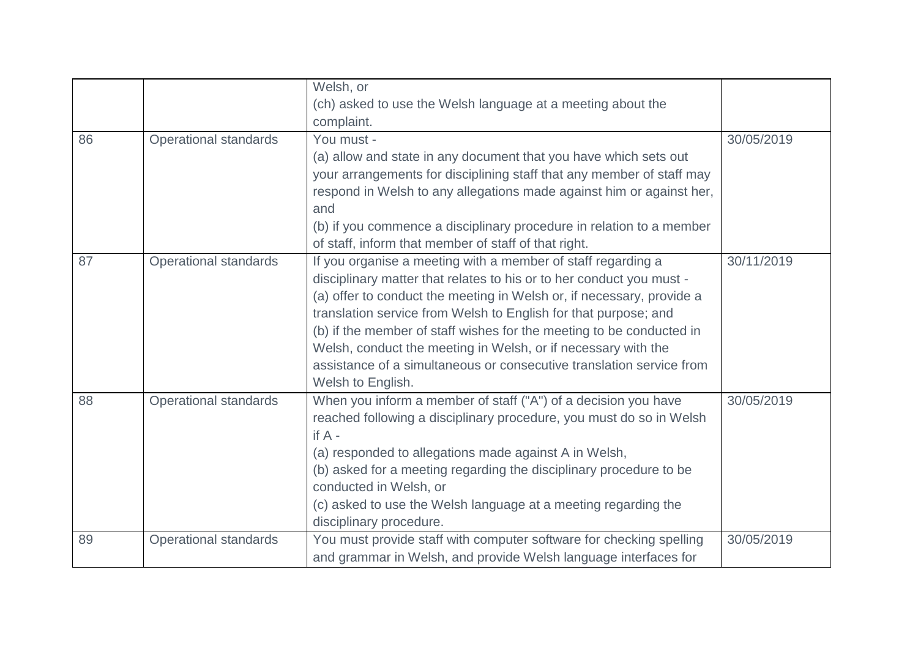|    |                              | Welsh, or                                                             |            |
|----|------------------------------|-----------------------------------------------------------------------|------------|
|    |                              | (ch) asked to use the Welsh language at a meeting about the           |            |
|    |                              | complaint.                                                            |            |
| 86 | <b>Operational standards</b> | You must -                                                            | 30/05/2019 |
|    |                              | (a) allow and state in any document that you have which sets out      |            |
|    |                              | your arrangements for disciplining staff that any member of staff may |            |
|    |                              | respond in Welsh to any allegations made against him or against her,  |            |
|    |                              | and                                                                   |            |
|    |                              | (b) if you commence a disciplinary procedure in relation to a member  |            |
|    |                              | of staff, inform that member of staff of that right.                  |            |
| 87 | <b>Operational standards</b> | If you organise a meeting with a member of staff regarding a          | 30/11/2019 |
|    |                              | disciplinary matter that relates to his or to her conduct you must -  |            |
|    |                              | (a) offer to conduct the meeting in Welsh or, if necessary, provide a |            |
|    |                              | translation service from Welsh to English for that purpose; and       |            |
|    |                              | (b) if the member of staff wishes for the meeting to be conducted in  |            |
|    |                              | Welsh, conduct the meeting in Welsh, or if necessary with the         |            |
|    |                              | assistance of a simultaneous or consecutive translation service from  |            |
|    |                              | Welsh to English.                                                     |            |
| 88 | Operational standards        | When you inform a member of staff ("A") of a decision you have        | 30/05/2019 |
|    |                              | reached following a disciplinary procedure, you must do so in Welsh   |            |
|    |                              | if $A -$                                                              |            |
|    |                              | (a) responded to allegations made against A in Welsh,                 |            |
|    |                              | (b) asked for a meeting regarding the disciplinary procedure to be    |            |
|    |                              | conducted in Welsh, or                                                |            |
|    |                              | (c) asked to use the Welsh language at a meeting regarding the        |            |
|    |                              | disciplinary procedure.                                               |            |
| 89 | Operational standards        | You must provide staff with computer software for checking spelling   | 30/05/2019 |
|    |                              | and grammar in Welsh, and provide Welsh language interfaces for       |            |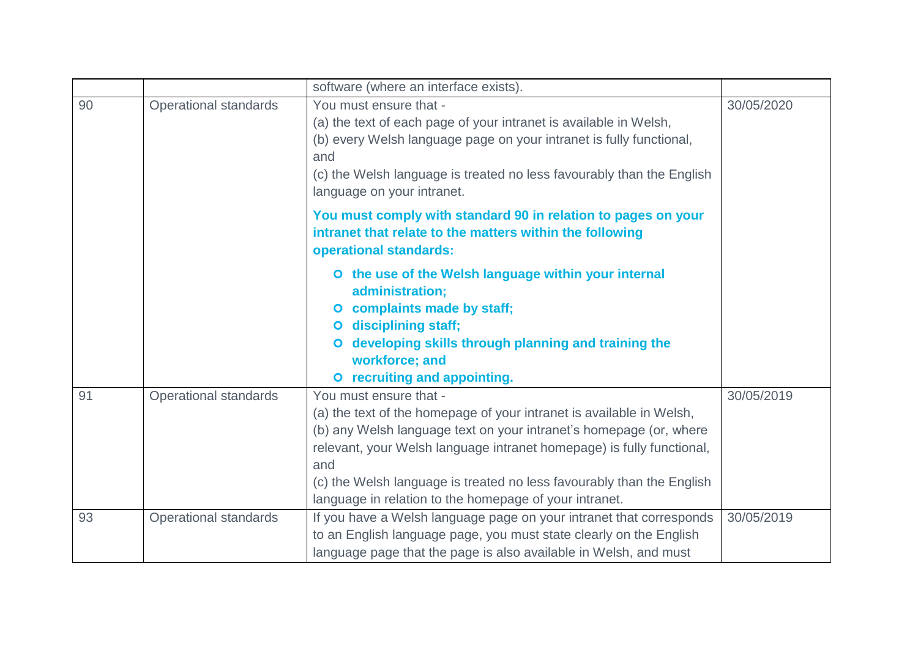|    |                              | software (where an interface exists).                                                                                                                                                                                                                                                                                                                                                   |            |
|----|------------------------------|-----------------------------------------------------------------------------------------------------------------------------------------------------------------------------------------------------------------------------------------------------------------------------------------------------------------------------------------------------------------------------------------|------------|
| 90 | <b>Operational standards</b> | You must ensure that -<br>(a) the text of each page of your intranet is available in Welsh,<br>(b) every Welsh language page on your intranet is fully functional,<br>and<br>(c) the Welsh language is treated no less favourably than the English<br>language on your intranet.                                                                                                        | 30/05/2020 |
|    |                              | You must comply with standard 90 in relation to pages on your<br>intranet that relate to the matters within the following<br>operational standards:                                                                                                                                                                                                                                     |            |
|    |                              | O the use of the Welsh language within your internal<br>administration;<br>complaints made by staff;<br>$\bullet$<br>disciplining staff;<br>$\bullet$<br>developing skills through planning and training the<br>workforce; and<br>O recruiting and appointing.                                                                                                                          |            |
| 91 | <b>Operational standards</b> | You must ensure that -<br>(a) the text of the homepage of your intranet is available in Welsh,<br>(b) any Welsh language text on your intranet's homepage (or, where<br>relevant, your Welsh language intranet homepage) is fully functional,<br>and<br>(c) the Welsh language is treated no less favourably than the English<br>language in relation to the homepage of your intranet. | 30/05/2019 |
| 93 | <b>Operational standards</b> | If you have a Welsh language page on your intranet that corresponds<br>to an English language page, you must state clearly on the English<br>language page that the page is also available in Welsh, and must                                                                                                                                                                           | 30/05/2019 |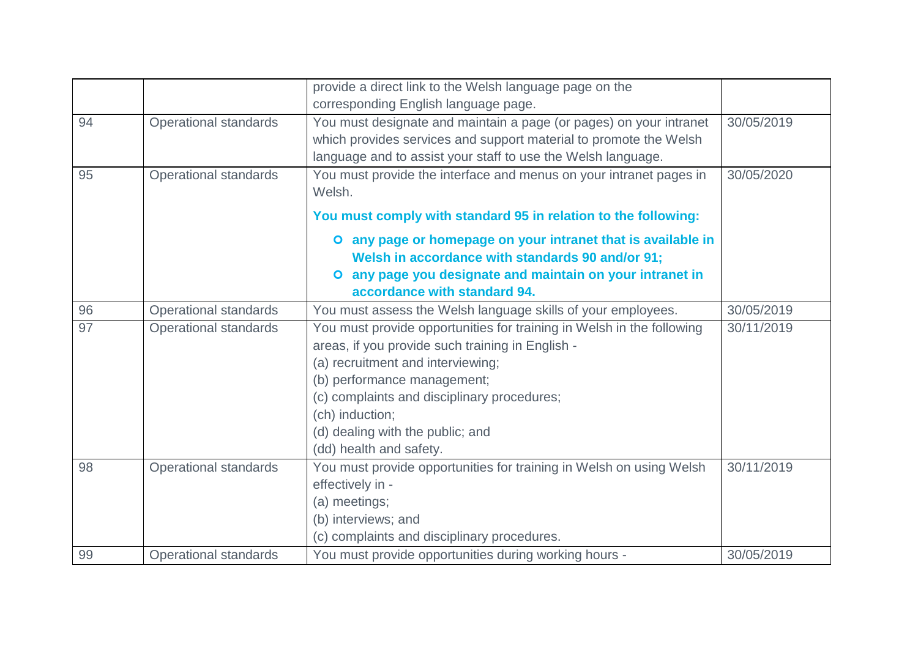|    |                              | provide a direct link to the Welsh language page on the               |            |
|----|------------------------------|-----------------------------------------------------------------------|------------|
|    |                              | corresponding English language page.                                  |            |
| 94 | <b>Operational standards</b> | You must designate and maintain a page (or pages) on your intranet    | 30/05/2019 |
|    |                              | which provides services and support material to promote the Welsh     |            |
|    |                              | language and to assist your staff to use the Welsh language.          |            |
| 95 | <b>Operational standards</b> | You must provide the interface and menus on your intranet pages in    | 30/05/2020 |
|    |                              | Welsh.                                                                |            |
|    |                              | You must comply with standard 95 in relation to the following:        |            |
|    |                              | any page or homepage on your intranet that is available in            |            |
|    |                              | Welsh in accordance with standards 90 and/or 91;                      |            |
|    |                              | O any page you designate and maintain on your intranet in             |            |
|    |                              | accordance with standard 94.                                          |            |
| 96 | <b>Operational standards</b> | You must assess the Welsh language skills of your employees.          | 30/05/2019 |
| 97 | <b>Operational standards</b> | You must provide opportunities for training in Welsh in the following | 30/11/2019 |
|    |                              | areas, if you provide such training in English -                      |            |
|    |                              | (a) recruitment and interviewing;                                     |            |
|    |                              | (b) performance management;                                           |            |
|    |                              | (c) complaints and disciplinary procedures;                           |            |
|    |                              | (ch) induction;                                                       |            |
|    |                              | (d) dealing with the public; and                                      |            |
|    |                              | (dd) health and safety.                                               |            |
| 98 | <b>Operational standards</b> | You must provide opportunities for training in Welsh on using Welsh   | 30/11/2019 |
|    |                              | effectively in -                                                      |            |
|    |                              | (a) meetings;                                                         |            |
|    |                              | (b) interviews; and                                                   |            |
|    |                              | (c) complaints and disciplinary procedures.                           |            |
| 99 | <b>Operational standards</b> | You must provide opportunities during working hours -                 | 30/05/2019 |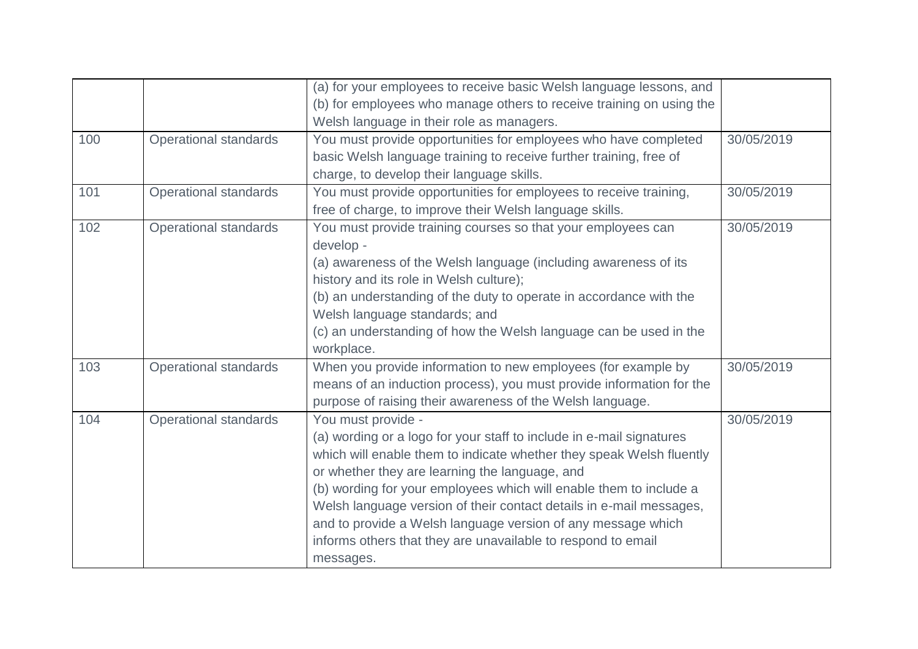|     |                              | (a) for your employees to receive basic Welsh language lessons, and  |            |
|-----|------------------------------|----------------------------------------------------------------------|------------|
|     |                              | (b) for employees who manage others to receive training on using the |            |
|     |                              | Welsh language in their role as managers.                            |            |
| 100 | <b>Operational standards</b> | You must provide opportunities for employees who have completed      | 30/05/2019 |
|     |                              | basic Welsh language training to receive further training, free of   |            |
|     |                              | charge, to develop their language skills.                            |            |
| 101 | <b>Operational standards</b> | You must provide opportunities for employees to receive training,    | 30/05/2019 |
|     |                              | free of charge, to improve their Welsh language skills.              |            |
| 102 | <b>Operational standards</b> | You must provide training courses so that your employees can         | 30/05/2019 |
|     |                              | develop -                                                            |            |
|     |                              | (a) awareness of the Welsh language (including awareness of its      |            |
|     |                              | history and its role in Welsh culture);                              |            |
|     |                              | (b) an understanding of the duty to operate in accordance with the   |            |
|     |                              | Welsh language standards; and                                        |            |
|     |                              | (c) an understanding of how the Welsh language can be used in the    |            |
|     |                              | workplace.                                                           |            |
| 103 | <b>Operational standards</b> | When you provide information to new employees (for example by        | 30/05/2019 |
|     |                              | means of an induction process), you must provide information for the |            |
|     |                              | purpose of raising their awareness of the Welsh language.            |            |
| 104 | <b>Operational standards</b> | You must provide -                                                   | 30/05/2019 |
|     |                              | (a) wording or a logo for your staff to include in e-mail signatures |            |
|     |                              | which will enable them to indicate whether they speak Welsh fluently |            |
|     |                              | or whether they are learning the language, and                       |            |
|     |                              | (b) wording for your employees which will enable them to include a   |            |
|     |                              | Welsh language version of their contact details in e-mail messages,  |            |
|     |                              | and to provide a Welsh language version of any message which         |            |
|     |                              | informs others that they are unavailable to respond to email         |            |
|     |                              | messages.                                                            |            |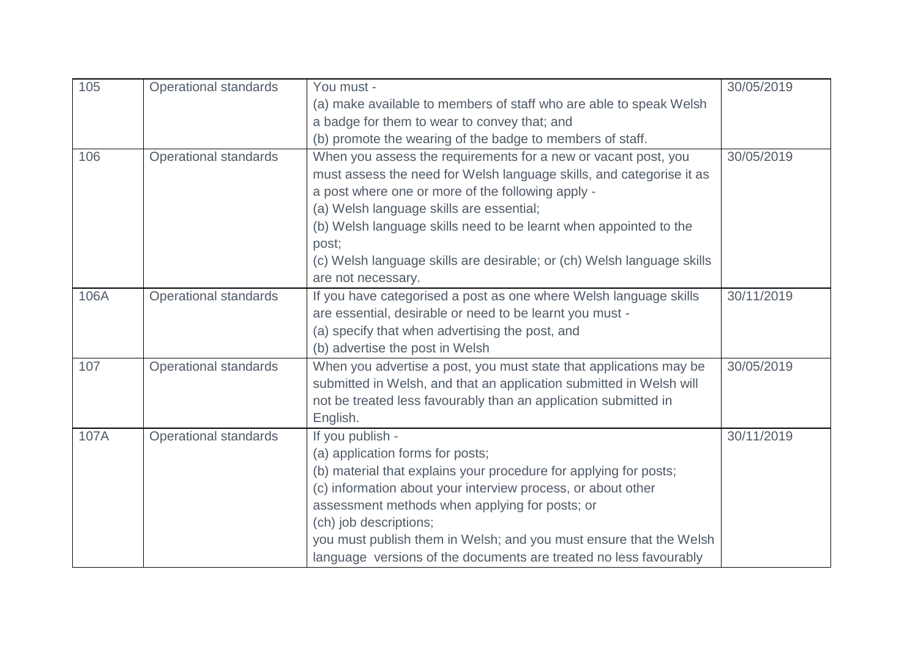| 105  | <b>Operational standards</b> | You must -                                                             | 30/05/2019 |
|------|------------------------------|------------------------------------------------------------------------|------------|
|      |                              | (a) make available to members of staff who are able to speak Welsh     |            |
|      |                              | a badge for them to wear to convey that; and                           |            |
|      |                              | (b) promote the wearing of the badge to members of staff.              |            |
| 106  | <b>Operational standards</b> | When you assess the requirements for a new or vacant post, you         | 30/05/2019 |
|      |                              | must assess the need for Welsh language skills, and categorise it as   |            |
|      |                              | a post where one or more of the following apply -                      |            |
|      |                              | (a) Welsh language skills are essential;                               |            |
|      |                              | (b) Welsh language skills need to be learnt when appointed to the      |            |
|      |                              | post;                                                                  |            |
|      |                              | (c) Welsh language skills are desirable; or (ch) Welsh language skills |            |
|      |                              | are not necessary.                                                     |            |
| 106A | <b>Operational standards</b> | If you have categorised a post as one where Welsh language skills      | 30/11/2019 |
|      |                              | are essential, desirable or need to be learnt you must -               |            |
|      |                              | (a) specify that when advertising the post, and                        |            |
|      |                              | (b) advertise the post in Welsh                                        |            |
| 107  | <b>Operational standards</b> | When you advertise a post, you must state that applications may be     | 30/05/2019 |
|      |                              | submitted in Welsh, and that an application submitted in Welsh will    |            |
|      |                              | not be treated less favourably than an application submitted in        |            |
|      |                              | English.                                                               |            |
| 107A | <b>Operational standards</b> | If you publish -                                                       | 30/11/2019 |
|      |                              | (a) application forms for posts;                                       |            |
|      |                              | (b) material that explains your procedure for applying for posts;      |            |
|      |                              | (c) information about your interview process, or about other           |            |
|      |                              | assessment methods when applying for posts; or                         |            |
|      |                              | (ch) job descriptions;                                                 |            |
|      |                              | you must publish them in Welsh; and you must ensure that the Welsh     |            |
|      |                              | language versions of the documents are treated no less favourably      |            |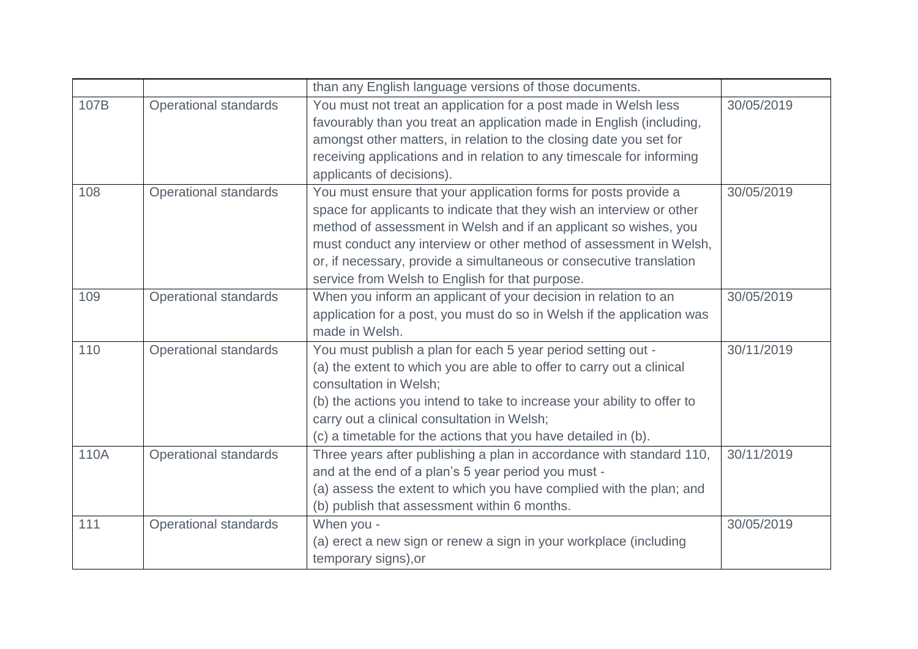|      |                              | than any English language versions of those documents.                  |            |
|------|------------------------------|-------------------------------------------------------------------------|------------|
| 107B | Operational standards        | You must not treat an application for a post made in Welsh less         | 30/05/2019 |
|      |                              | favourably than you treat an application made in English (including,    |            |
|      |                              | amongst other matters, in relation to the closing date you set for      |            |
|      |                              | receiving applications and in relation to any timescale for informing   |            |
|      |                              | applicants of decisions).                                               |            |
| 108  | <b>Operational standards</b> | You must ensure that your application forms for posts provide a         | 30/05/2019 |
|      |                              | space for applicants to indicate that they wish an interview or other   |            |
|      |                              | method of assessment in Welsh and if an applicant so wishes, you        |            |
|      |                              | must conduct any interview or other method of assessment in Welsh,      |            |
|      |                              | or, if necessary, provide a simultaneous or consecutive translation     |            |
|      |                              | service from Welsh to English for that purpose.                         |            |
| 109  | <b>Operational standards</b> | When you inform an applicant of your decision in relation to an         | 30/05/2019 |
|      |                              | application for a post, you must do so in Welsh if the application was  |            |
|      |                              | made in Welsh.                                                          |            |
| 110  | <b>Operational standards</b> | You must publish a plan for each 5 year period setting out -            | 30/11/2019 |
|      |                              | (a) the extent to which you are able to offer to carry out a clinical   |            |
|      |                              | consultation in Welsh;                                                  |            |
|      |                              | (b) the actions you intend to take to increase your ability to offer to |            |
|      |                              | carry out a clinical consultation in Welsh;                             |            |
|      |                              | (c) a timetable for the actions that you have detailed in (b).          |            |
| 110A | Operational standards        | Three years after publishing a plan in accordance with standard 110,    | 30/11/2019 |
|      |                              | and at the end of a plan's 5 year period you must -                     |            |
|      |                              | (a) assess the extent to which you have complied with the plan; and     |            |
|      |                              | (b) publish that assessment within 6 months.                            |            |
| 111  | <b>Operational standards</b> | When you -                                                              | 30/05/2019 |
|      |                              | (a) erect a new sign or renew a sign in your workplace (including       |            |
|      |                              | temporary signs), or                                                    |            |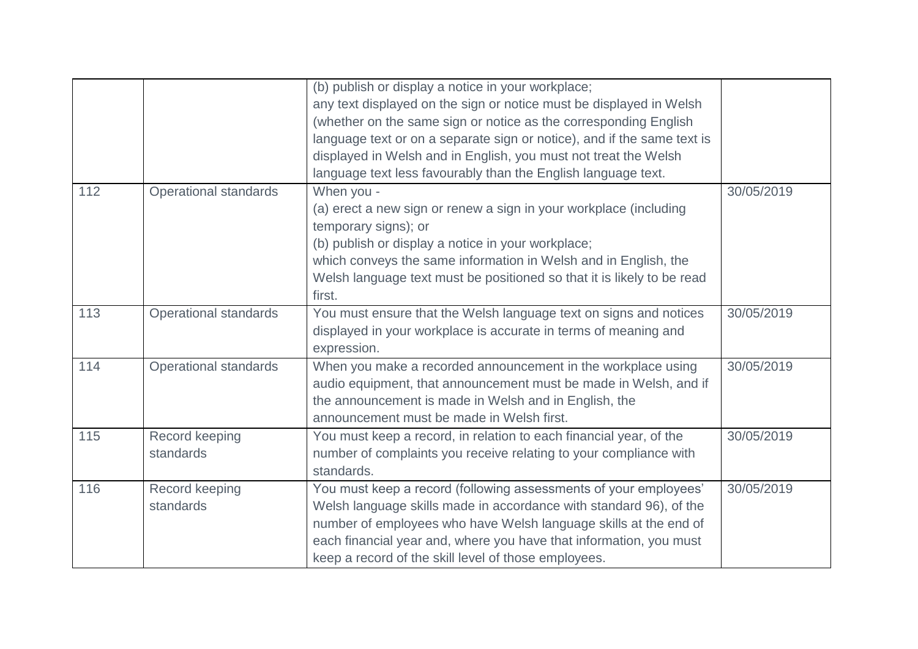|     |                              | (b) publish or display a notice in your workplace;<br>any text displayed on the sign or notice must be displayed in Welsh |            |
|-----|------------------------------|---------------------------------------------------------------------------------------------------------------------------|------------|
|     |                              | (whether on the same sign or notice as the corresponding English                                                          |            |
|     |                              | language text or on a separate sign or notice), and if the same text is                                                   |            |
|     |                              | displayed in Welsh and in English, you must not treat the Welsh                                                           |            |
|     |                              | language text less favourably than the English language text.                                                             |            |
| 112 | <b>Operational standards</b> | When you -                                                                                                                | 30/05/2019 |
|     |                              | (a) erect a new sign or renew a sign in your workplace (including<br>temporary signs); or                                 |            |
|     |                              | (b) publish or display a notice in your workplace;                                                                        |            |
|     |                              | which conveys the same information in Welsh and in English, the                                                           |            |
|     |                              | Welsh language text must be positioned so that it is likely to be read                                                    |            |
|     |                              | first.                                                                                                                    |            |
| 113 | <b>Operational standards</b> | You must ensure that the Welsh language text on signs and notices                                                         | 30/05/2019 |
|     |                              | displayed in your workplace is accurate in terms of meaning and                                                           |            |
|     |                              | expression.                                                                                                               |            |
| 114 | <b>Operational standards</b> | When you make a recorded announcement in the workplace using                                                              | 30/05/2019 |
|     |                              | audio equipment, that announcement must be made in Welsh, and if                                                          |            |
|     |                              | the announcement is made in Welsh and in English, the                                                                     |            |
|     |                              | announcement must be made in Welsh first.                                                                                 |            |
| 115 | Record keeping               | You must keep a record, in relation to each financial year, of the                                                        | 30/05/2019 |
|     | standards                    | number of complaints you receive relating to your compliance with                                                         |            |
|     |                              | standards.                                                                                                                |            |
| 116 | Record keeping               | You must keep a record (following assessments of your employees'                                                          | 30/05/2019 |
|     | standards                    | Welsh language skills made in accordance with standard 96), of the                                                        |            |
|     |                              | number of employees who have Welsh language skills at the end of                                                          |            |
|     |                              | each financial year and, where you have that information, you must                                                        |            |
|     |                              | keep a record of the skill level of those employees.                                                                      |            |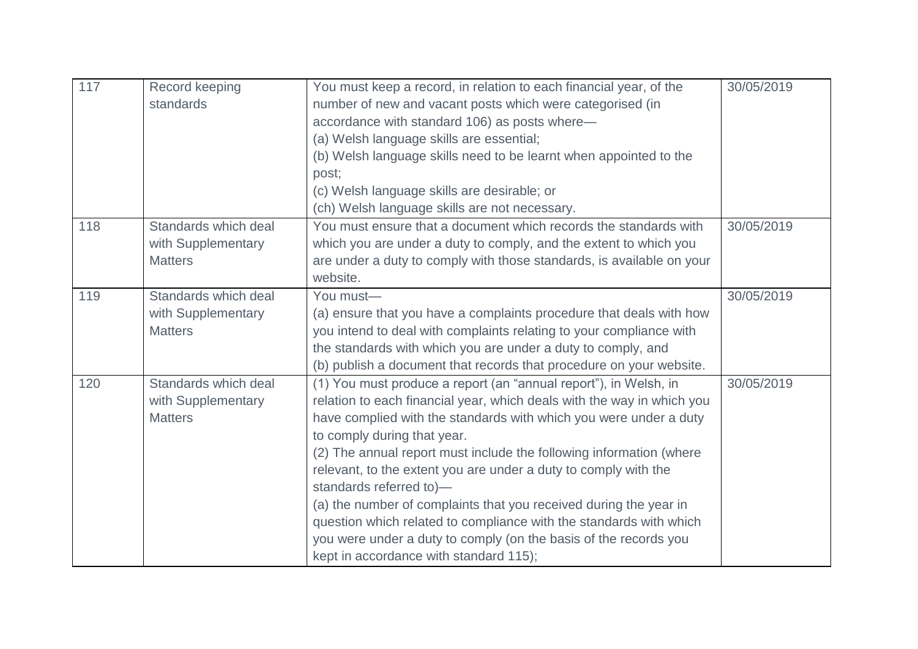| 117 | Record keeping<br>standards | You must keep a record, in relation to each financial year, of the<br>number of new and vacant posts which were categorised (in | 30/05/2019 |
|-----|-----------------------------|---------------------------------------------------------------------------------------------------------------------------------|------------|
|     |                             | accordance with standard 106) as posts where-                                                                                   |            |
|     |                             | (a) Welsh language skills are essential;                                                                                        |            |
|     |                             | (b) Welsh language skills need to be learnt when appointed to the                                                               |            |
|     |                             | post;                                                                                                                           |            |
|     |                             | (c) Welsh language skills are desirable; or                                                                                     |            |
|     |                             | (ch) Welsh language skills are not necessary.                                                                                   |            |
| 118 | Standards which deal        | You must ensure that a document which records the standards with                                                                | 30/05/2019 |
|     | with Supplementary          | which you are under a duty to comply, and the extent to which you                                                               |            |
|     | <b>Matters</b>              | are under a duty to comply with those standards, is available on your                                                           |            |
|     |                             | website.                                                                                                                        |            |
| 119 | Standards which deal        | You must-                                                                                                                       | 30/05/2019 |
|     | with Supplementary          | (a) ensure that you have a complaints procedure that deals with how                                                             |            |
|     | <b>Matters</b>              | you intend to deal with complaints relating to your compliance with                                                             |            |
|     |                             | the standards with which you are under a duty to comply, and                                                                    |            |
|     |                             | (b) publish a document that records that procedure on your website.                                                             |            |
| 120 | Standards which deal        | (1) You must produce a report (an "annual report"), in Welsh, in                                                                | 30/05/2019 |
|     | with Supplementary          | relation to each financial year, which deals with the way in which you                                                          |            |
|     | <b>Matters</b>              | have complied with the standards with which you were under a duty                                                               |            |
|     |                             | to comply during that year.                                                                                                     |            |
|     |                             | (2) The annual report must include the following information (where                                                             |            |
|     |                             | relevant, to the extent you are under a duty to comply with the                                                                 |            |
|     |                             | standards referred to)-                                                                                                         |            |
|     |                             | (a) the number of complaints that you received during the year in                                                               |            |
|     |                             | question which related to compliance with the standards with which                                                              |            |
|     |                             | you were under a duty to comply (on the basis of the records you                                                                |            |
|     |                             | kept in accordance with standard 115);                                                                                          |            |